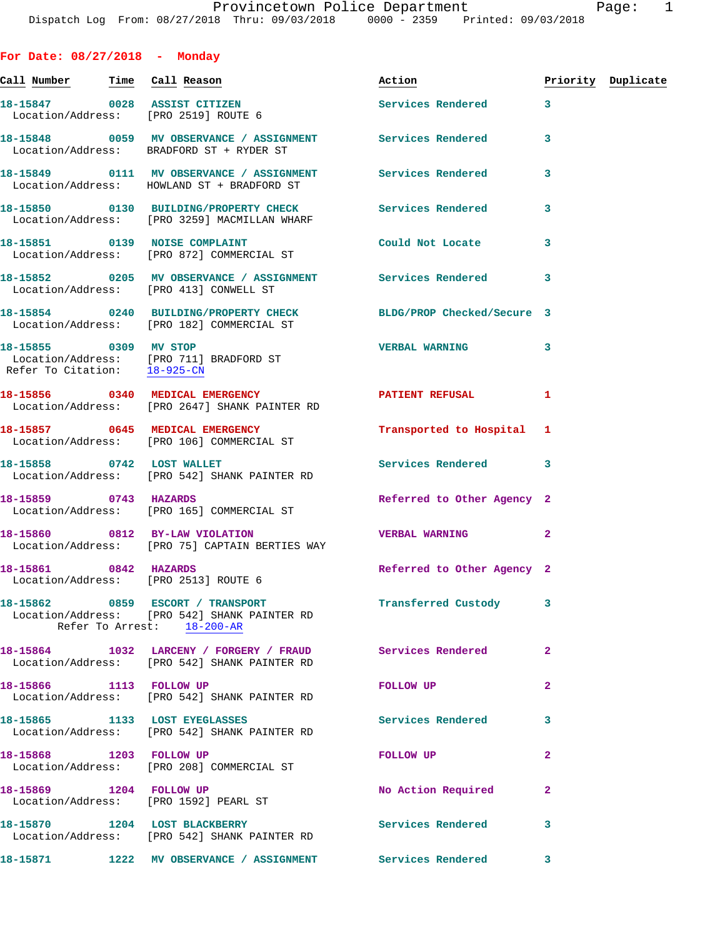| For Date: $08/27/2018$ - Monday                                      |                                                                                                                |                            |                    |  |
|----------------------------------------------------------------------|----------------------------------------------------------------------------------------------------------------|----------------------------|--------------------|--|
| <u>Call Number — Time Call Reason</u>                                |                                                                                                                | Action                     | Priority Duplicate |  |
| 18-15847 0028 ASSIST CITIZEN<br>Location/Address: [PRO 2519] ROUTE 6 |                                                                                                                | Services Rendered 3        |                    |  |
|                                                                      | 18-15848 0059 MV OBSERVANCE / ASSIGNMENT Services Rendered<br>Location/Address: BRADFORD ST + RYDER ST         |                            | 3                  |  |
|                                                                      | 18-15849 0111 MV OBSERVANCE / ASSIGNMENT Services Rendered<br>Location/Address: HOWLAND ST + BRADFORD ST       |                            | 3                  |  |
|                                                                      | 18-15850 0130 BUILDING/PROPERTY CHECK Services Rendered<br>Location/Address: [PRO 3259] MACMILLAN WHARF        |                            | 3                  |  |
|                                                                      | 18-15851 0139 NOISE COMPLAINT<br>Location/Address: [PRO 872] COMMERCIAL ST                                     | Could Not Locate           | 3                  |  |
|                                                                      | 18-15852 0205 MV OBSERVANCE / ASSIGNMENT Services Rendered<br>Location/Address: [PRO 413] CONWELL ST           |                            | 3                  |  |
|                                                                      | 18-15854 0240 BUILDING/PROPERTY CHECK BLDG/PROP Checked/Secure 3<br>Location/Address: [PRO 182] COMMERCIAL ST  |                            |                    |  |
| Refer To Citation: 18-925-CN                                         | 18-15855 0309 MV STOP<br>Location/Address: [PRO 711] BRADFORD ST                                               | <b>VERBAL WARNING</b>      | 3                  |  |
|                                                                      | 18-15856 0340 MEDICAL EMERGENCY<br>Location/Address: [PRO 2647] SHANK PAINTER RD                               | PATIENT REFUSAL            | 1                  |  |
|                                                                      | 18-15857 0645 MEDICAL EMERGENCY<br>Location/Address: [PRO 106] COMMERCIAL ST                                   | Transported to Hospital 1  |                    |  |
|                                                                      | 18-15858 0742 LOST WALLET<br>Location/Address: [PRO 542] SHANK PAINTER RD                                      | Services Rendered          | 3                  |  |
| 18-15859 0743 HAZARDS                                                | Location/Address: [PRO 165] COMMERCIAL ST                                                                      | Referred to Other Agency 2 |                    |  |
|                                                                      | 18-15860 0812 BY-LAW VIOLATION<br>Location/Address: [PRO 75] CAPTAIN BERTIES WAY                               | <b>VERBAL WARNING</b>      | $\mathbf{2}$       |  |
| 18-15861 0842 HAZARDS                                                | Location/Address: [PRO 2513] ROUTE 6                                                                           | Referred to Other Agency 2 |                    |  |
|                                                                      | 18-15862 0859 ESCORT / TRANSPORT<br>Location/Address: [PRO 542] SHANK PAINTER RD<br>Refer To Arrest: 18-200-AR | Transferred Custody        | 3                  |  |
|                                                                      | 18-15864 1032 LARCENY / FORGERY / FRAUD Services Rendered<br>Location/Address: [PRO 542] SHANK PAINTER RD      |                            | $\mathbf{2}$       |  |
|                                                                      | 18-15866 1113 FOLLOW UP<br>Location/Address: [PRO 542] SHANK PAINTER RD                                        | FOLLOW UP                  | $\mathbf{2}$       |  |
| 18-15865 1133 LOST EYEGLASSES                                        | Location/Address: [PRO 542] SHANK PAINTER RD                                                                   | Services Rendered          | 3                  |  |
|                                                                      | 18-15868 1203 FOLLOW UP<br>Location/Address: [PRO 208] COMMERCIAL ST                                           | FOLLOW UP                  | 2                  |  |
| 18-15869 1204 FOLLOW UP                                              | Location/Address: [PRO 1592] PEARL ST                                                                          | No Action Required         | $\mathbf{2}$       |  |
|                                                                      | 18-15870 1204 LOST BLACKBERRY<br>Location/Address: [PRO 542] SHANK PAINTER RD                                  | <b>Services Rendered</b>   | 3                  |  |
|                                                                      |                                                                                                                |                            | 3                  |  |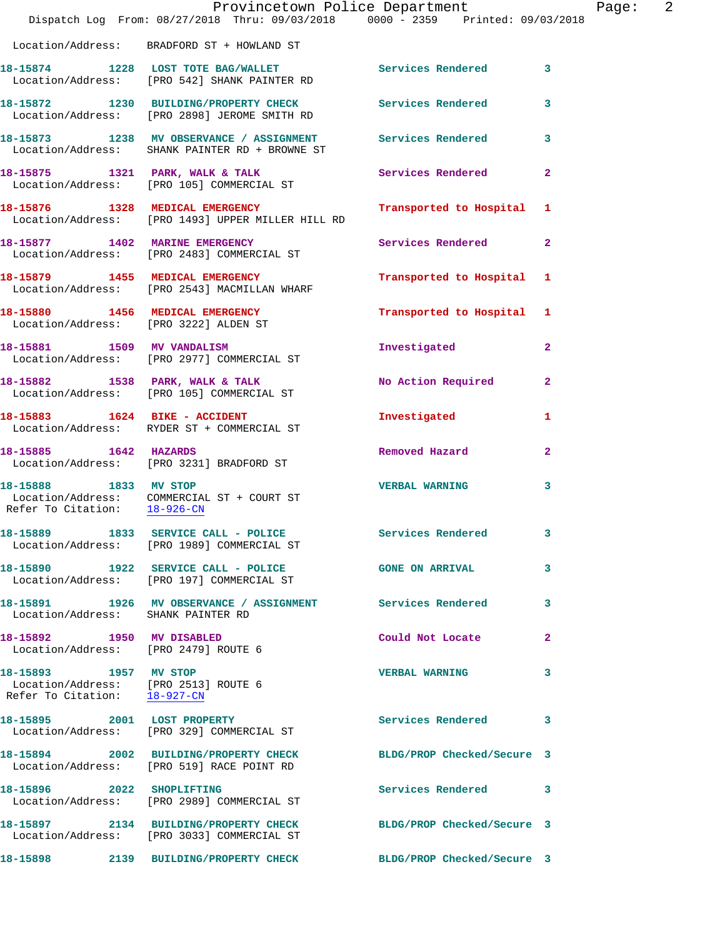|                                                                                               | Provincetown Police Department<br>Dispatch Log From: 08/27/2018 Thru: 09/03/2018 0000 - 2359 Printed: 09/03/2018 |                            |                         |
|-----------------------------------------------------------------------------------------------|------------------------------------------------------------------------------------------------------------------|----------------------------|-------------------------|
|                                                                                               | Location/Address: BRADFORD ST + HOWLAND ST                                                                       |                            |                         |
|                                                                                               | 18-15874 1228 LOST TOTE BAG/WALLET                                                                               | Services Rendered          | 3                       |
|                                                                                               | Location/Address: [PRO 542] SHANK PAINTER RD                                                                     |                            |                         |
|                                                                                               | 18-15872 1230 BUILDING/PROPERTY CHECK Services Rendered<br>Location/Address: [PRO 2898] JEROME SMITH RD          |                            | 3                       |
|                                                                                               | 18-15873 1238 MV OBSERVANCE / ASSIGNMENT Services Rendered<br>Location/Address: SHANK PAINTER RD + BROWNE ST     |                            | 3                       |
|                                                                                               | 18-15875 1321 PARK, WALK & TALK<br>Location/Address: [PRO 105] COMMERCIAL ST                                     | Services Rendered          | $\overline{a}$          |
|                                                                                               | 18-15876 1328 MEDICAL EMERGENCY<br>Location/Address: [PRO 1493] UPPER MILLER HILL RD                             | Transported to Hospital    | 1                       |
|                                                                                               | 18-15877 1402 MARINE EMERGENCY<br>Location/Address: [PRO 2483] COMMERCIAL ST                                     | Services Rendered          | $\overline{a}$          |
|                                                                                               | 18-15879 1455 MEDICAL EMERGENCY<br>Location/Address: [PRO 2543] MACMILLAN WHARF                                  | Transported to Hospital    | 1                       |
| 18-15880 1456 MEDICAL EMERGENCY<br>Location/Address: [PRO 3222] ALDEN ST                      |                                                                                                                  | Transported to Hospital    | 1                       |
|                                                                                               | 18-15881 1509 MV VANDALISM<br>Location/Address: [PRO 2977] COMMERCIAL ST                                         | Investigated               | $\overline{\mathbf{2}}$ |
|                                                                                               | 18-15882 1538 PARK, WALK & TALK<br>Location/Address: [PRO 105] COMMERCIAL ST                                     | No Action Required         | $\overline{a}$          |
|                                                                                               | 18-15883    1624    BIKE - ACCIDENT<br>Location/Address: RYDER ST + COMMERCIAL ST                                | Investigated               | 1                       |
| 18-15885 1642 HAZARDS                                                                         | Location/Address: [PRO 3231] BRADFORD ST                                                                         | Removed Hazard             | $\overline{2}$          |
| 18-15888 1833 MV STOP                                                                         | Location/Address: COMMERCIAL ST + COURT ST<br>Refer To Citation: $\frac{18-926-CN}{\pi}$                         | <b>VERBAL WARNING</b>      | 3                       |
|                                                                                               | 18-15889 1833 SERVICE CALL - POLICE<br>Location/Address: [PRO 1989] COMMERCIAL ST                                | Services Rendered          | 3                       |
|                                                                                               | 18-15890 1922 SERVICE CALL - POLICE<br>Location/Address: [PRO 197] COMMERCIAL ST                                 | <b>GONE ON ARRIVAL</b>     | 3                       |
| Location/Address: SHANK PAINTER RD                                                            | 18-15891               1926    MV  OBSERVANCE  /  ASSIGNMENT                 Services  Rendered                  |                            | 3                       |
| 18-15892 1950 MV DISABLED<br>Location/Address: [PRO 2479] ROUTE 6                             |                                                                                                                  | Could Not Locate           | $\overline{\mathbf{2}}$ |
| 18-15893 1957 MV STOP<br>Location/Address: [PRO 2513] ROUTE 6<br>Refer To Citation: 18-927-CN |                                                                                                                  | <b>VERBAL WARNING</b>      | 3                       |
|                                                                                               | 18-15895 2001 LOST PROPERTY<br>Location/Address: [PRO 329] COMMERCIAL ST                                         | <b>Services Rendered</b>   | 3                       |
|                                                                                               | 18-15894 2002 BUILDING/PROPERTY CHECK<br>Location/Address: [PRO 519] RACE POINT RD                               | BLDG/PROP Checked/Secure 3 |                         |
| 18-15896 2022 SHOPLIFTING                                                                     | Location/Address: [PRO 2989] COMMERCIAL ST                                                                       | Services Rendered          | 3                       |
|                                                                                               | 18-15897 2134 BUILDING/PROPERTY CHECK<br>Location/Address: [PRO 3033] COMMERCIAL ST                              | BLDG/PROP Checked/Secure 3 |                         |
|                                                                                               |                                                                                                                  | BLDG/PROP Checked/Secure 3 |                         |

Page: 2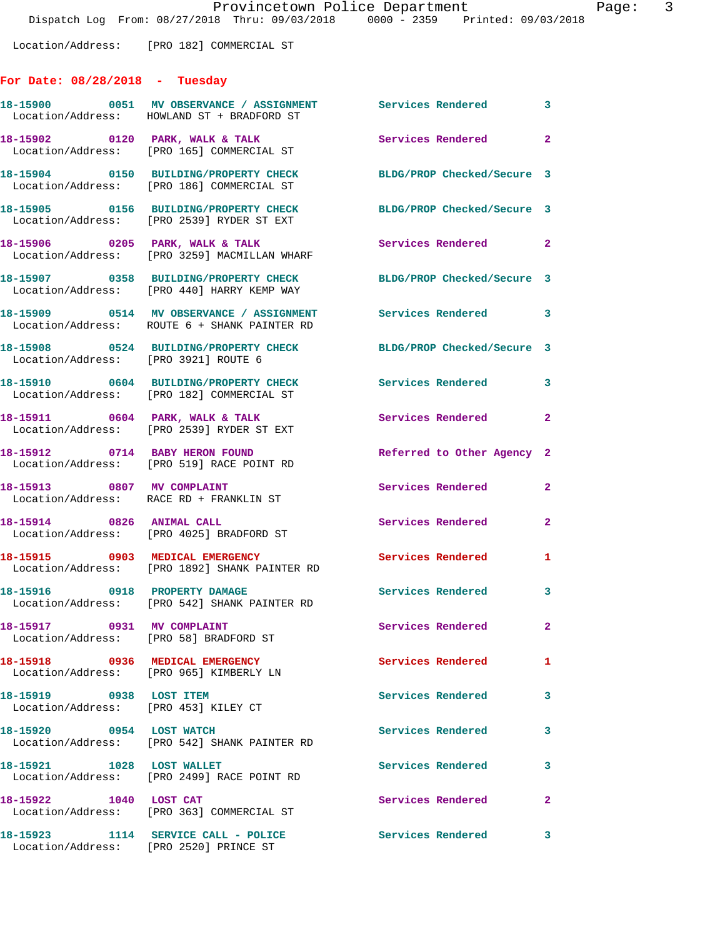Location/Address: [PRO 182] COMMERCIAL ST

## **For Date: 08/28/2018 - Tuesday**

|                                                                 | 18-15900 0051 MV OBSERVANCE / ASSIGNMENT<br>Location/Address: HOWLAND ST + BRADFORD ST                       | Services Rendered 3        |                |
|-----------------------------------------------------------------|--------------------------------------------------------------------------------------------------------------|----------------------------|----------------|
|                                                                 | 18-15902 0120 PARK, WALK & TALK<br>Location/Address: [PRO 165] COMMERCIAL ST                                 | Services Rendered 2        |                |
|                                                                 | 18-15904 0150 BUILDING/PROPERTY CHECK<br>Location/Address: [PRO 186] COMMERCIAL ST                           | BLDG/PROP Checked/Secure 3 |                |
|                                                                 | 18-15905 0156 BUILDING/PROPERTY CHECK<br>Location/Address: [PRO 2539] RYDER ST EXT                           | BLDG/PROP Checked/Secure 3 |                |
|                                                                 | 18-15906 0205 PARK, WALK & TALK<br>Location/Address: [PRO 3259] MACMILLAN WHARF                              | Services Rendered 2        |                |
|                                                                 | 18-15907 0358 BUILDING/PROPERTY CHECK<br>Location/Address: [PRO 440] HARRY KEMP WAY                          | BLDG/PROP Checked/Secure 3 |                |
|                                                                 | 18-15909 0514 MV OBSERVANCE / ASSIGNMENT Services Rendered 3<br>Location/Address: ROUTE 6 + SHANK PAINTER RD |                            |                |
| Location/Address: [PRO 3921] ROUTE 6                            | 18-15908 0524 BUILDING/PROPERTY CHECK                                                                        | BLDG/PROP Checked/Secure 3 |                |
|                                                                 | 18-15910 0604 BUILDING/PROPERTY CHECK<br>Location/Address: [PRO 182] COMMERCIAL ST                           | <b>Services Rendered</b>   | 3              |
|                                                                 | 18-15911 0604 PARK, WALK & TALK<br>Location/Address: [PRO 2539] RYDER ST EXT                                 | Services Rendered 2        |                |
|                                                                 | 18-15912 0714 BABY HERON FOUND<br>Location/Address: [PRO 519] RACE POINT RD                                  | Referred to Other Agency 2 |                |
| 18-15913 0807 MV COMPLAINT                                      | Location/Address: RACE RD + FRANKLIN ST                                                                      | Services Rendered          | $\mathbf{2}$   |
|                                                                 | 18-15914 0826 ANIMAL CALL<br>Location/Address: [PRO 4025] BRADFORD ST                                        | Services Rendered          | $\overline{a}$ |
| 18-15915 0903 MEDICAL EMERGENCY                                 | Location/Address: [PRO 1892] SHANK PAINTER RD                                                                | <b>Services Rendered</b>   | 1              |
|                                                                 | 18-15916 0918 PROPERTY DAMAGE<br>Location/Address: [PRO 542] SHANK PAINTER RD                                | Services Rendered 3        |                |
| 18-15917 0931 MV COMPLAINT                                      | Location/Address: [PRO 58] BRADFORD ST                                                                       | Services Rendered          | $\mathbf{2}$   |
|                                                                 | 18-15918 0936 MEDICAL EMERGENCY<br>Location/Address: [PRO 965] KIMBERLY LN                                   | Services Rendered          | 1.             |
| 18-15919 0938 LOST ITEM<br>Location/Address: [PRO 453] KILEY CT |                                                                                                              | Services Rendered          | 3              |
| 18-15920 0954 LOST WATCH                                        | Location/Address: [PRO 542] SHANK PAINTER RD                                                                 | Services Rendered          | 3              |
| 18-15921 1028 LOST WALLET                                       | Location/Address: [PRO 2499] RACE POINT RD                                                                   | <b>Services Rendered</b>   | 3              |
| 18-15922 1040 LOST CAT                                          | Location/Address: [PRO 363] COMMERCIAL ST                                                                    | Services Rendered          | $\mathbf{2}$   |
| Location/Address: [PRO 2520] PRINCE ST                          | 18-15923 1114 SERVICE CALL - POLICE                                                                          | <b>Services Rendered</b>   | 3              |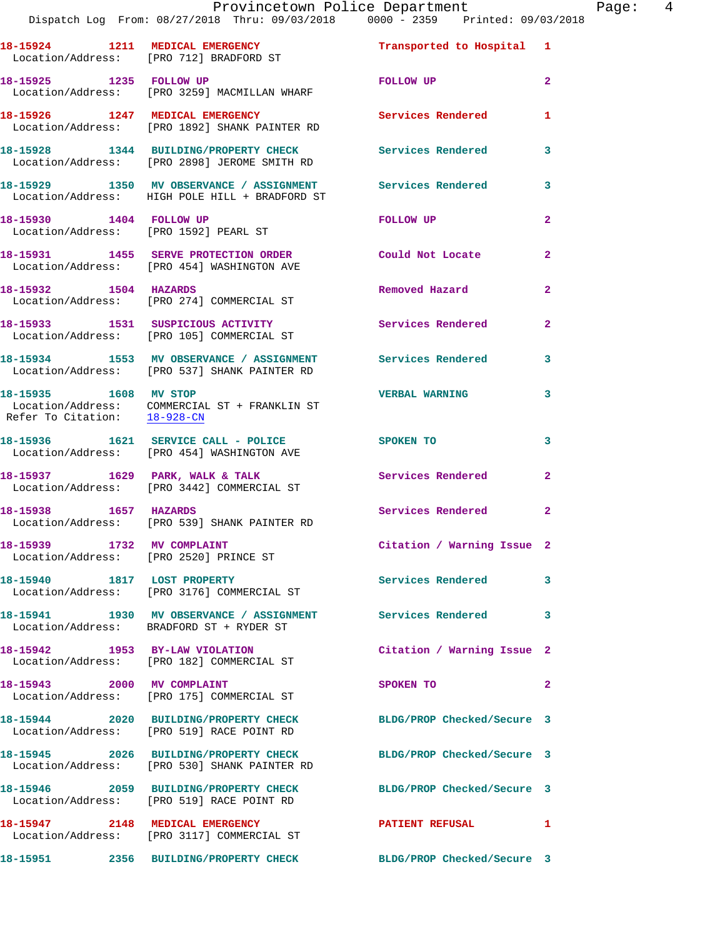|                            | Dispatch Log From: 08/27/2018 Thru: 09/03/2018 0000 - 2359 Printed: 09/03/2018                                   | Provincetown Police Department |                | Page: $4$ |  |
|----------------------------|------------------------------------------------------------------------------------------------------------------|--------------------------------|----------------|-----------|--|
|                            | 18-15924 1211 MEDICAL EMERGENCY <b>120 Transported to Hospital</b> 1<br>Location/Address: [PRO 712] BRADFORD ST  |                                |                |           |  |
| 18-15925 1235 FOLLOW UP    | Location/Address: [PRO 3259] MACMILLAN WHARF                                                                     | FOLLOW UP                      | $\mathbf{2}$   |           |  |
|                            | 18-15926              1247    MEDICAL EMERGENCY<br>Location/Address:     [PRO 1892] SHANK PAINTER RD             | Services Rendered              | 1              |           |  |
|                            | 18-15928 1344 BUILDING/PROPERTY CHECK Services Rendered 3<br>Location/Address: [PRO 2898] JEROME SMITH RD        |                                |                |           |  |
|                            | 18-15929 1350 MV OBSERVANCE / ASSIGNMENT Services Rendered 3<br>Location/Address: HIGH POLE HILL + BRADFORD ST   |                                |                |           |  |
| 18-15930 1404 FOLLOW UP    | Location/Address: [PRO 1592] PEARL ST                                                                            | FOLLOW UP                      | $\overline{2}$ |           |  |
|                            | 18-15931 1455 SERVE PROTECTION ORDER Could Not Locate 2<br>Location/Address: [PRO 454] WASHINGTON AVE            |                                |                |           |  |
|                            | 18-15932 1504 HAZARDS<br>Location/Address: [PRO 274] COMMERCIAL ST                                               | Removed Hazard                 | $\overline{2}$ |           |  |
|                            | 18-15933 1531 SUSPICIOUS ACTIVITY 1991 Services Rendered 2<br>Location/Address: [PRO 105] COMMERCIAL ST          |                                |                |           |  |
|                            | 18-15934 1553 MV OBSERVANCE / ASSIGNMENT Services Rendered<br>Location/Address: [PRO 537] SHANK PAINTER RD       |                                | 3              |           |  |
| 18-15935 1608 MV STOP      | Location/Address: COMMERCIAL ST + FRANKLIN ST<br>Refer To Citation: $\frac{18-928-CN}{\pi}$                      | VERBAL WARNING                 | 3              |           |  |
|                            | 18-15936 1621 SERVICE CALL - POLICE SPOKEN TO<br>Location/Address: [PRO 454] WASHINGTON AVE                      |                                | 3              |           |  |
|                            | 18-15937 1629 PARK, WALK & TALK<br>Location/Address: [PRO 3442] COMMERCIAL ST                                    | Services Rendered              | $\mathbf{2}$   |           |  |
|                            | 18-15938 1657 HAZARDS<br>Location/Address: [PRO 539] SHANK PAINTER RD                                            | Services Rendered              | $\mathbf{2}$   |           |  |
| 18-15939 1732 MV COMPLAINT | Location/Address: [PRO 2520] PRINCE ST                                                                           | Citation / Warning Issue 2     |                |           |  |
|                            | 18-15940 1817 LOST PROPERTY<br>Location/Address: [PRO 3176] COMMERCIAL ST                                        | Services Rendered              | 3              |           |  |
|                            | 18-15941 1930 MV OBSERVANCE / ASSIGNMENT Services Rendered<br>Location/Address: BRADFORD ST + RYDER ST           |                                | 3              |           |  |
|                            | 18-15942 1953 BY-LAW VIOLATION<br>Location/Address: [PRO 182] COMMERCIAL ST                                      | Citation / Warning Issue 2     |                |           |  |
| 18-15943 2000 MV COMPLAINT | Location/Address: [PRO 175] COMMERCIAL ST                                                                        | SPOKEN TO                      | $\mathbf{2}$   |           |  |
|                            | 18-15944 2020 BUILDING/PROPERTY CHECK<br>Location/Address: [PRO 519] RACE POINT RD                               | BLDG/PROP Checked/Secure 3     |                |           |  |
|                            | 18-15945 2026 BUILDING/PROPERTY CHECK BLDG/PROP Checked/Secure 3<br>Location/Address: [PRO 530] SHANK PAINTER RD |                                |                |           |  |

**18-15946 2059 BUILDING/PROPERTY CHECK BLDG/PROP Checked/Secure 3**  Location/Address: [PRO 519] RACE POINT RD

**18-15947 2148 MEDICAL EMERGENCY PATIENT REFUSAL 1**  Location/Address: [PRO 3117] COMMERCIAL ST

**18-15951 2356 BUILDING/PROPERTY CHECK BLDG/PROP Checked/Secure 3**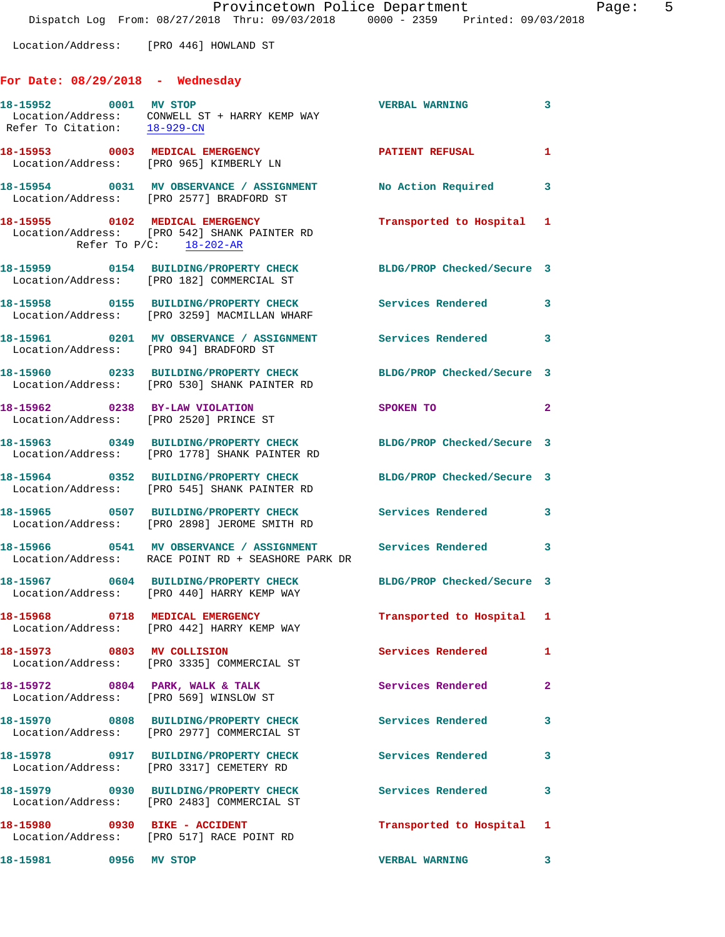Location/Address: [PRO 446] HOWLAND ST

## **For Date: 08/29/2018 - Wednesday**

| 18-15952 0001 MV STOP                  | Location/Address: CONWELL ST + HARRY KEMP WAY<br>Refer To Citation: $\frac{18-929-CN}{\pi}$                   | <b>VERBAL WARNING</b>      | 3                          |
|----------------------------------------|---------------------------------------------------------------------------------------------------------------|----------------------------|----------------------------|
|                                        | 18-15953 0003 MEDICAL EMERGENCY<br>Location/Address: [PRO 965] KIMBERLY LN                                    | <b>PATIENT REFUSAL</b>     | $\mathbf{1}$               |
|                                        | 18-15954 0031 MV OBSERVANCE / ASSIGNMENT<br>Location/Address: [PRO 2577] BRADFORD ST                          | No Action Required         | $\mathbf{3}$               |
|                                        | 18-15955 0102 MEDICAL EMERGENCY<br>Location/Address: [PRO 542] SHANK PAINTER RD<br>Refer To $P/C$ : 18-202-AR | Transported to Hospital 1  |                            |
|                                        | 18-15959 0154 BUILDING/PROPERTY CHECK<br>Location/Address: [PRO 182] COMMERCIAL ST                            | BLDG/PROP Checked/Secure 3 |                            |
|                                        | 18-15958 0155 BUILDING/PROPERTY CHECK<br>Location/Address: [PRO 3259] MACMILLAN WHARF                         | <b>Services Rendered</b>   | $\overline{\mathbf{3}}$    |
| Location/Address: [PRO 94] BRADFORD ST | 18-15961 0201 MV OBSERVANCE / ASSIGNMENT                                                                      | Services Rendered 3        |                            |
|                                        | 18-15960 0233 BUILDING/PROPERTY CHECK<br>Location/Address: [PRO 530] SHANK PAINTER RD                         | BLDG/PROP Checked/Secure 3 |                            |
| 18-15962 0238 BY-LAW VIOLATION         | Location/Address: [PRO 2520] PRINCE ST                                                                        | SPOKEN TO                  | $\overline{\mathbf{2}}$    |
|                                        | 18-15963 0349 BUILDING/PROPERTY CHECK<br>Location/Address: [PRO 1778] SHANK PAINTER RD                        | BLDG/PROP Checked/Secure 3 |                            |
|                                        | 18-15964 0352 BUILDING/PROPERTY CHECK<br>Location/Address: [PRO 545] SHANK PAINTER RD                         | BLDG/PROP Checked/Secure 3 |                            |
|                                        | 18-15965 0507 BUILDING/PROPERTY CHECK<br>Location/Address: [PRO 2898] JEROME SMITH RD                         | Services Rendered          | 3                          |
|                                        | 18-15966 0541 MV OBSERVANCE / ASSIGNMENT<br>Location/Address: RACE POINT RD + SEASHORE PARK DR                | <b>Services Rendered</b>   | $\overline{\phantom{a}}$ 3 |
|                                        | 18-15967 0604 BUILDING/PROPERTY CHECK<br>Location/Address: [PRO 440] HARRY KEMP WAY                           | BLDG/PROP Checked/Secure 3 |                            |
| 18-15968 0718 MEDICAL EMERGENCY        | Location/Address: [PRO 442] HARRY KEMP WAY                                                                    | Transported to Hospital 1  |                            |
| 18-15973 0803 MV COLLISION             | Location/Address: [PRO 3335] COMMERCIAL ST                                                                    | Services Rendered          | $\mathbf{1}$               |
| 18-15972 0804 PARK, WALK & TALK        | Location/Address: [PRO 569] WINSLOW ST                                                                        | Services Rendered          | $\overline{2}$             |
|                                        | 18-15970 0808 BUILDING/PROPERTY CHECK<br>Location/Address: [PRO 2977] COMMERCIAL ST                           | Services Rendered          | 3                          |
|                                        | 18-15978 0917 BUILDING/PROPERTY CHECK<br>Location/Address: [PRO 3317] CEMETERY RD                             | <b>Services Rendered</b>   | 3                          |
|                                        | 18-15979 0930 BUILDING/PROPERTY CHECK<br>Location/Address: [PRO 2483] COMMERCIAL ST                           | <b>Services Rendered</b>   | $\mathbf{3}$               |
| 18-15980 0930 BIKE - ACCIDENT          | Location/Address: [PRO 517] RACE POINT RD                                                                     | Transported to Hospital 1  |                            |
| 18-15981 0956 MV STOP                  |                                                                                                               | <b>VERBAL WARNING</b>      | 3                          |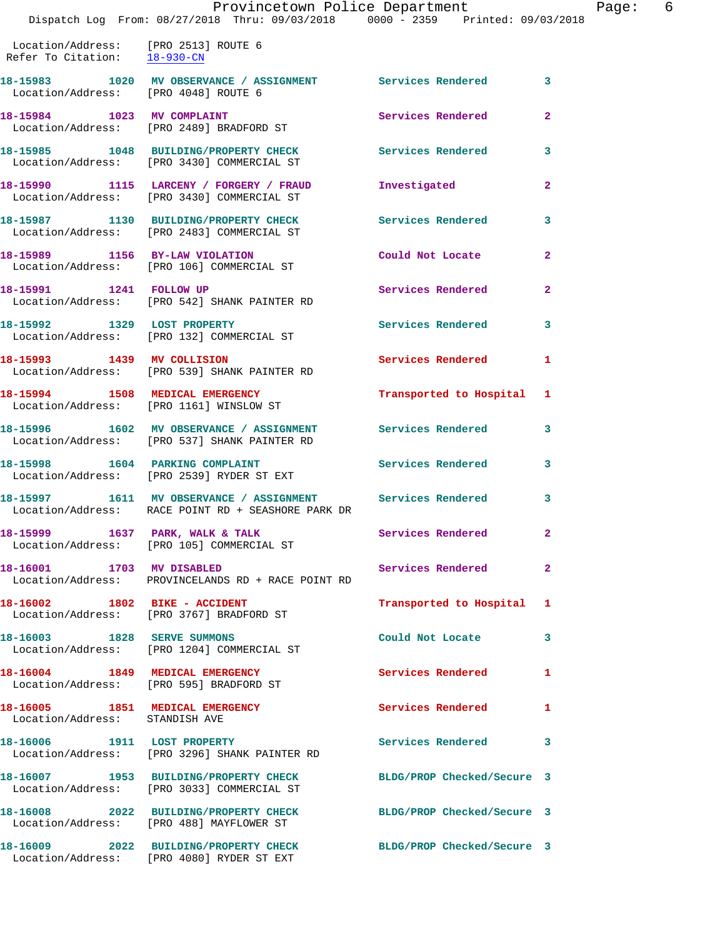Location/Address: [PRO 2513] ROUTE 6 Refer To Citation: 18-930-CN

18-15983 1020 MV OBSERVANCE / ASSIGNMENT Services Rendered 3 Location/Address: [PRO 4048] ROUTE 6 **18-15984 1023 MV COMPLAINT Services Rendered 2**  Location/Address: [PRO 2489] BRADFORD ST **18-15985 1048 BUILDING/PROPERTY CHECK Services Rendered 3**  Location/Address: [PRO 3430] COMMERCIAL ST **18-15990 1115 LARCENY / FORGERY / FRAUD Investigated 2**  Location/Address: [PRO 3430] COMMERCIAL ST **18-15987 1130 BUILDING/PROPERTY CHECK Services Rendered 3**  Location/Address: [PRO 2483] COMMERCIAL ST **18-15989 1156 BY-LAW VIOLATION Could Not Locate 2**  Location/Address: [PRO 106] COMMERCIAL ST **18-15991 1241 FOLLOW UP Services Rendered 2**  Location/Address: [PRO 542] SHANK PAINTER RD 18-15992 1329 LOST PROPERTY **18-16-16-20 Services Rendered** 3 Location/Address: [PRO 132] COMMERCIAL ST **18-15993 1439 MV COLLISION Services Rendered 1**  Location/Address: [PRO 539] SHANK PAINTER RD **18-15994 1508 MEDICAL EMERGENCY Transported to Hospital 1**  Location/Address: [PRO 1161] WINSLOW ST **18-15996 1602 MV OBSERVANCE / ASSIGNMENT Services Rendered 3**  Location/Address: [PRO 537] SHANK PAINTER RD **18-15998 1604 PARKING COMPLAINT Services Rendered 3**  Location/Address: [PRO 2539] RYDER ST EXT **18-15997 1611 MV OBSERVANCE / ASSIGNMENT Services Rendered 3**  Location/Address: RACE POINT RD + SEASHORE PARK DR 18-15999 1637 PARK, WALK & TALK **Services Rendered** 2 Location/Address: [PRO 105] COMMERCIAL ST **18-16001 1703 MV DISABLED Services Rendered 2**  Location/Address: PROVINCELANDS RD + RACE POINT RD **18-16002 1802 BIKE - ACCIDENT Transported to Hospital 1**  Location/Address: [PRO 3767] BRADFORD ST **18-16003 1828 SERVE SUMMONS Could Not Locate 3**  Location/Address: [PRO 1204] COMMERCIAL ST **18-16004 1849 MEDICAL EMERGENCY Services Rendered 1**  Location/Address: [PRO 595] BRADFORD ST 18-16005 1851 MEDICAL EMERGENCY Services Rendered 1 Location/Address: STANDISH AVE **18-16006 1911 LOST PROPERTY Services Rendered 3**  Location/Address: [PRO 3296] SHANK PAINTER RD **18-16007 1953 BUILDING/PROPERTY CHECK BLDG/PROP Checked/Secure 3**  Location/Address: [PRO 3033] COMMERCIAL ST **18-16008 2022 BUILDING/PROPERTY CHECK BLDG/PROP Checked/Secure 3**  Location/Address: [PRO 488] MAYFLOWER ST **18-16009 2022 BUILDING/PROPERTY CHECK BLDG/PROP Checked/Secure 3**  Location/Address: [PRO 4080] RYDER ST EXT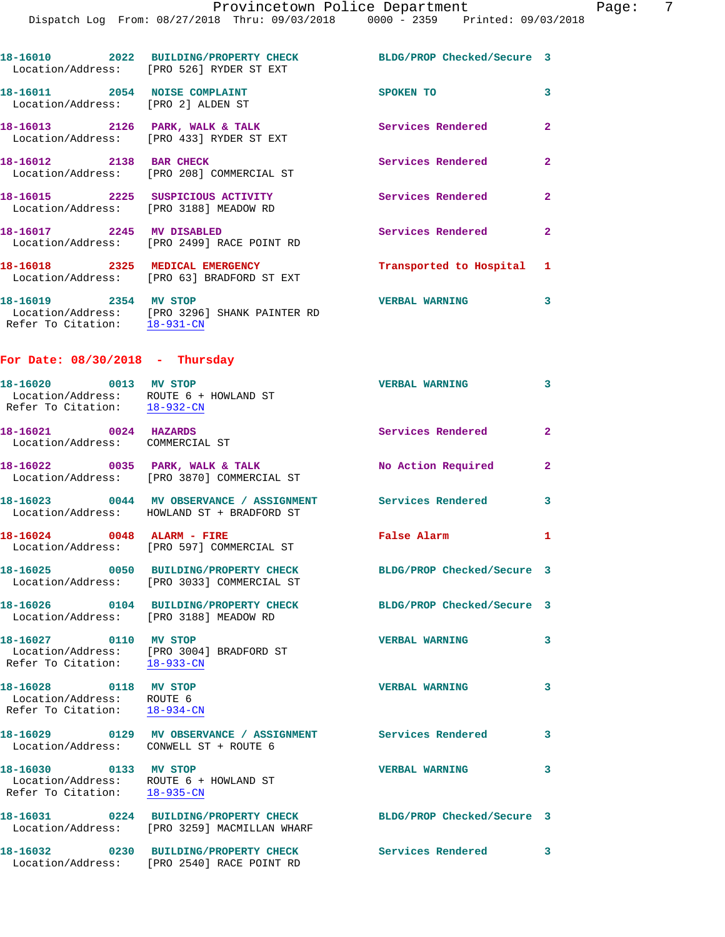|                                                                     | 18-16010  2022 BUILDING/PROPERTY CHECK<br>Location/Address: [PRO 526] RYDER ST EXT | BLDG/PROP Checked/Secure 3 |                |
|---------------------------------------------------------------------|------------------------------------------------------------------------------------|----------------------------|----------------|
| 18-16011 2054 NOISE COMPLAINT<br>Location/Address: [PRO 2] ALDEN ST |                                                                                    | SPOKEN TO                  | 3              |
| 18-16013 2126 PARK, WALK & TALK                                     | Location/Address: [PRO 433] RYDER ST EXT                                           | Services Rendered          | $\overline{2}$ |
| 18-16012 2138 BAR CHECK                                             | Location/Address: [PRO 208] COMMERCIAL ST                                          | Services Rendered          | $\mathbf{2}$   |
|                                                                     | 18-16015  2225  SUSPICIOUS ACTIVITY<br>Location/Address: [PRO 3188] MEADOW RD      | Services Rendered          | $\mathbf{2}$   |
| 18-16017 2245 MV DISABLED                                           | Location/Address: [PRO 2499] RACE POINT RD                                         | Services Rendered          | $\mathbf{2}$   |
| 18-16018 2325                                                       | <b>MEDICAL EMERGENCY</b><br>Location/Address: [PRO 63] BRADFORD ST EXT             | Transported to Hospital 1  |                |

**18-16019 2354 MV STOP VERBAL WARNING 3**  Location/Address: [PRO 3296] SHANK PAINTER RD Refer To Citation: 18-931-CN

## **For Date: 08/30/2018 - Thursday**

| 18-16020 0013 MV STOP<br>Location/Address: ROUTE 6 + HOWLAND ST<br>Refer To Citation: 18-932-CN |                                                                                        | <b>VERBAL WARNING</b>      | 3              |
|-------------------------------------------------------------------------------------------------|----------------------------------------------------------------------------------------|----------------------------|----------------|
| 18-16021 0024 HAZARDS<br>Location/Address: COMMERCIAL ST                                        |                                                                                        | Services Rendered          | $\overline{2}$ |
|                                                                                                 | 18-16022 0035 PARK, WALK & TALK<br>Location/Address: [PRO 3870] COMMERCIAL ST          | No Action Required         | $\overline{2}$ |
|                                                                                                 | 18-16023 0044 MV OBSERVANCE / ASSIGNMENT<br>Location/Address: HOWLAND ST + BRADFORD ST | <b>Services Rendered</b>   | 3              |
| 18-16024 0048 ALARM - FIRE                                                                      | Location/Address: [PRO 597] COMMERCIAL ST                                              | <b>False Alarm</b>         | 1              |
|                                                                                                 | 18-16025 0050 BUILDING/PROPERTY CHECK<br>Location/Address: [PRO 3033] COMMERCIAL ST    | BLDG/PROP Checked/Secure 3 |                |
| Location/Address: [PRO 3188] MEADOW RD                                                          | 18-16026 0104 BUILDING/PROPERTY CHECK                                                  | BLDG/PROP Checked/Secure 3 |                |
| 18-16027 0110 MV STOP                                                                           | Location/Address: [PRO 3004] BRADFORD ST<br>Refer To Citation: 18-933-CN               | <b>VERBAL WARNING</b>      | 3              |
| 18-16028 0118 MV STOP<br>Location/Address: ROUTE 6<br>Refer To Citation: 18-934-CM              |                                                                                        | <b>VERBAL WARNING</b>      | 3              |
| Location/Address: CONWELL ST + ROUTE 6                                                          | 18-16029 0129 MV OBSERVANCE / ASSIGNMENT Services Rendered                             |                            | 3              |
| 18-16030 0133 MV STOP<br>Location/Address: ROUTE 6 + HOWLAND ST<br>Refer To Citation: 18-935-CN |                                                                                        | <b>VERBAL WARNING</b>      | 3              |
|                                                                                                 | 18-16031 0224 BUILDING/PROPERTY CHECK<br>Location/Address: [PRO 3259] MACMILLAN WHARF  | BLDG/PROP Checked/Secure 3 |                |
|                                                                                                 | 18-16032 0230 BUILDING/PROPERTY CHECK<br>Location/Address: [PRO 2540] RACE POINT RD    | Services Rendered 3        |                |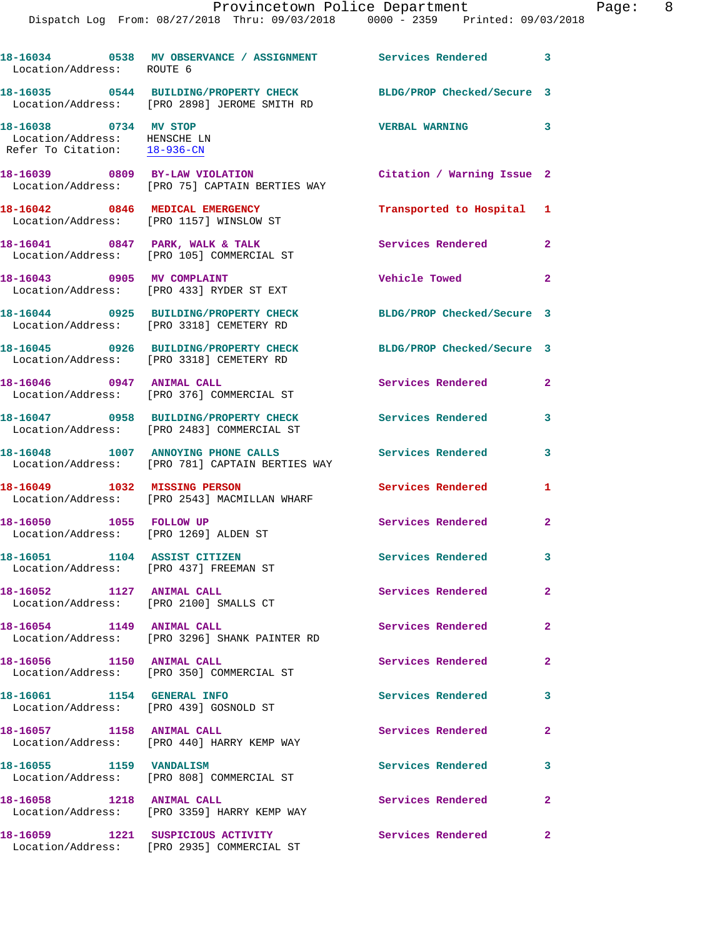Dispatch Log From: 08/27/2018 Thru: 09/03/2018 0000 - 2359 Printed: 09/03/2018

| Location/Address: ROUTE 6                                                             | 18-16034 0538 MV OBSERVANCE / ASSIGNMENT Services Rendered                            |                            | 3            |
|---------------------------------------------------------------------------------------|---------------------------------------------------------------------------------------|----------------------------|--------------|
|                                                                                       | 18-16035 0544 BUILDING/PROPERTY CHECK<br>Location/Address: [PRO 2898] JEROME SMITH RD | BLDG/PROP Checked/Secure 3 |              |
| 18-16038 0734 MV STOP<br>Location/Address: HENSCHE LN<br>Refer To Citation: 18-936-CN |                                                                                       | <b>VERBAL WARNING</b>      | 3            |
|                                                                                       | 18-16039 0809 BY-LAW VIOLATION<br>Location/Address: [PRO 75] CAPTAIN BERTIES WAY      | Citation / Warning Issue 2 |              |
|                                                                                       | 18-16042 0846 MEDICAL EMERGENCY<br>Location/Address: [PRO 1157] WINSLOW ST            | Transported to Hospital    | 1            |
|                                                                                       | 18-16041 0847 PARK, WALK & TALK<br>Location/Address: [PRO 105] COMMERCIAL ST          | Services Rendered          | $\mathbf{2}$ |
|                                                                                       | 18-16043 0905 MV COMPLAINT<br>Location/Address: [PRO 433] RYDER ST EXT                | <b>Vehicle Towed</b>       | $\mathbf{2}$ |
|                                                                                       | 18-16044 0925 BUILDING/PROPERTY CHECK<br>Location/Address: [PRO 3318] CEMETERY RD     | BLDG/PROP Checked/Secure 3 |              |
|                                                                                       | 18-16045 0926 BUILDING/PROPERTY CHECK<br>Location/Address: [PRO 3318] CEMETERY RD     | BLDG/PROP Checked/Secure 3 |              |
| 18-16046 0947 ANIMAL CALL                                                             | Location/Address: [PRO 376] COMMERCIAL ST                                             | Services Rendered          | $\mathbf{2}$ |
|                                                                                       | 18-16047 0958 BUILDING/PROPERTY CHECK<br>Location/Address: [PRO 2483] COMMERCIAL ST   | Services Rendered          | 3            |
|                                                                                       | 18-16048 1007 ANNOYING PHONE CALLS<br>Location/Address: [PRO 781] CAPTAIN BERTIES WAY | Services Rendered          | 3            |
| 18-16049 1032 MISSING PERSON                                                          | Location/Address: [PRO 2543] MACMILLAN WHARF                                          | Services Rendered          | 1            |
| 18-16050 1055 FOLLOW UP<br>Location/Address: [PRO 1269] ALDEN ST                      |                                                                                       | Services Rendered          | 2            |
| 18-16051 1104 ASSIST CITIZEN<br>Location/Address: [PRO 437] FREEMAN ST                |                                                                                       | Services Rendered          | 3            |
| 1127 ANIMAL CALL<br>18-16052<br>Location/Address: [PRO 2100] SMALLS CT                |                                                                                       | Services Rendered          | 2            |
|                                                                                       | 18-16054 1149 ANIMAL CALL<br>Location/Address: [PRO 3296] SHANK PAINTER RD            | <b>Services Rendered</b>   | 2            |
| 18-16056 1150 ANIMAL CALL                                                             | Location/Address: [PRO 350] COMMERCIAL ST                                             | Services Rendered          | 2            |
| Location/Address: [PRO 439] GOSNOLD ST                                                |                                                                                       | Services Rendered          | 3            |
| 18-16057 1158 ANIMAL CALL                                                             | Location/Address: [PRO 440] HARRY KEMP WAY                                            | Services Rendered          | 2            |
| 18-16055 1159 VANDALISM                                                               | Location/Address: [PRO 808] COMMERCIAL ST                                             | Services Rendered          | 3            |
| 18-16058 1218 ANIMAL CALL                                                             | Location/Address: [PRO 3359] HARRY KEMP WAY                                           | Services Rendered          | $\mathbf{2}$ |
|                                                                                       | 18-16059 1221 SUSPICIOUS ACTIVITY<br>Location/Address: [PRO 2935] COMMERCIAL ST       | Services Rendered          | $\mathbf{2}$ |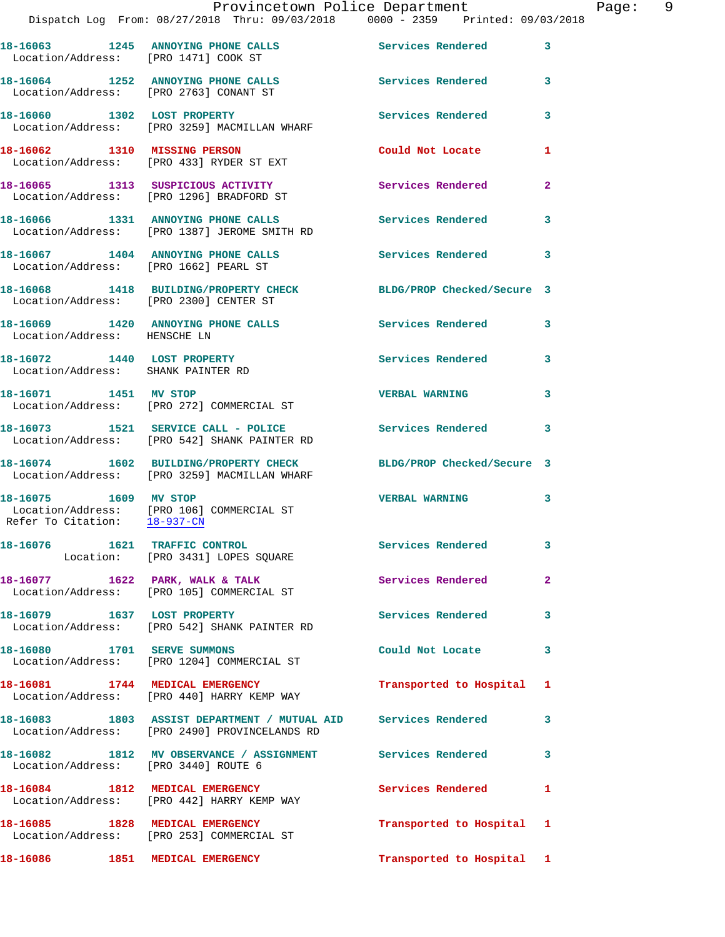18-16065 1313 SUSPICIOUS ACTIVITY **18-16065** Services Rendered 2

 Location/Address: [PRO 1296] BRADFORD ST 18-16066 1331 ANNOYING PHONE CALLS **18-1606** Services Rendered 3 Location/Address: [PRO 1387] JEROME SMITH RD **18-16067 1404 ANNOYING PHONE CALLS Services Rendered 3**  Location/Address: [PRO 1662] PEARL ST **18-16068 1418 BUILDING/PROPERTY CHECK BLDG/PROP Checked/Secure 3**  Location/Address: [PRO 2300] CENTER ST **18-16069 1420 ANNOYING PHONE CALLS Services Rendered 3**  Location/Address: HENSCHE LN **18-16072 1440 LOST PROPERTY Services Rendered 3**  Location/Address: SHANK PAINTER RD **18-16071 1451 MV STOP VERBAL WARNING 3**  Location/Address: [PRO 272] COMMERCIAL ST **18-16073 1521 SERVICE CALL - POLICE Services Rendered 3**  Location/Address: [PRO 542] SHANK PAINTER RD **18-16074 1602 BUILDING/PROPERTY CHECK BLDG/PROP Checked/Secure 3**  Location/Address: [PRO 3259] MACMILLAN WHARF **18-16075 1609 MV STOP VERBAL WARNING 3**  Location/Address: [PRO 106] COMMERCIAL ST Refer To Citation: 18-937-CN **18-16076 1621 TRAFFIC CONTROL Services Rendered 3**  Location: [PRO 3431] LOPES SQUARE **18-16077 1622 PARK, WALK & TALK Services Rendered 2**  Location/Address: [PRO 105] COMMERCIAL ST **18-16079 1637 LOST PROPERTY Services Rendered 3**  Location/Address: [PRO 542] SHANK PAINTER RD **18-16080 1701 SERVE SUMMONS Could Not Locate 3**  Location/Address: [PRO 1204] COMMERCIAL ST **18-16081 1744 MEDICAL EMERGENCY Transported to Hospital 1**  Location/Address: [PRO 440] HARRY KEMP WAY **18-16083 1803 ASSIST DEPARTMENT / MUTUAL AID Services Rendered 3**  Location/Address: [PRO 2490] PROVINCELANDS RD

**18-16082 1812 MV OBSERVANCE / ASSIGNMENT Services Rendered 3**  Location/Address: [PRO 3440] ROUTE 6 **18-16084 1812 MEDICAL EMERGENCY Services Rendered 1**  Location/Address: [PRO 442] HARRY KEMP WAY **18-16085 1828 MEDICAL EMERGENCY Transported to Hospital 1**  Location/Address: [PRO 253] COMMERCIAL ST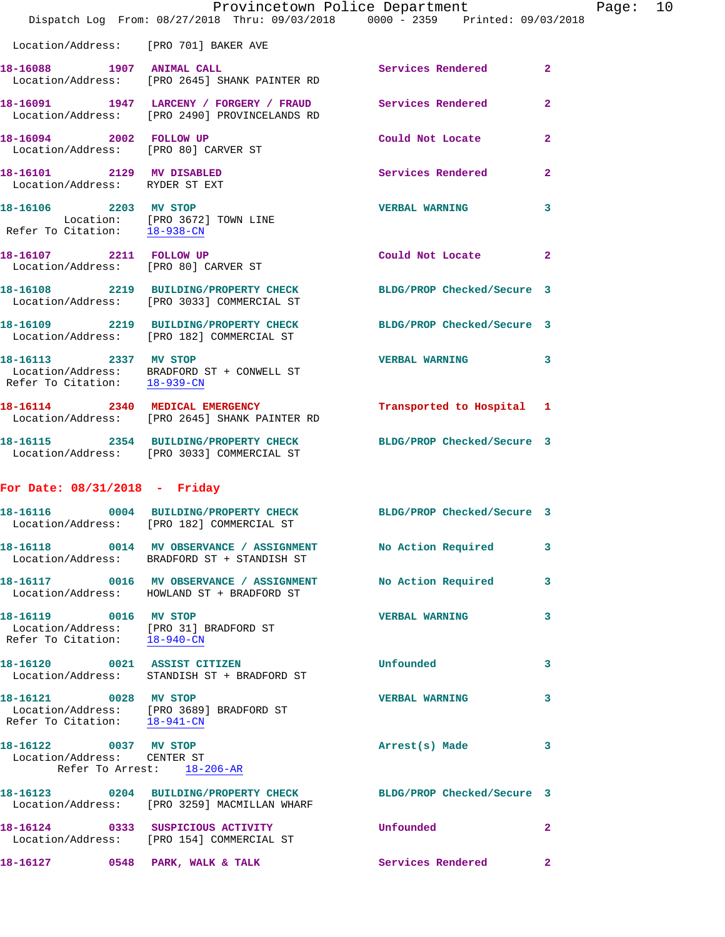|                                                                 | Provincetown Police Department<br>Dispatch Log From: 08/27/2018 Thru: 09/03/2018 0000 - 2359 Printed: 09/03/2018 |                            |                |
|-----------------------------------------------------------------|------------------------------------------------------------------------------------------------------------------|----------------------------|----------------|
| Location/Address: [PRO 701] BAKER AVE                           |                                                                                                                  |                            |                |
|                                                                 | 18-16088 1907 ANIMAL CALL<br>Location/Address: [PRO 2645] SHANK PAINTER RD                                       | Services Rendered          | $\overline{2}$ |
|                                                                 | 18-16091 1947 LARCENY / FORGERY / FRAUD Services Rendered<br>Location/Address: [PRO 2490] PROVINCELANDS RD       |                            | $\mathbf{2}$   |
| 18-16094 2002 FOLLOW UP<br>Location/Address: [PRO 80] CARVER ST |                                                                                                                  | Could Not Locate           | $\overline{a}$ |
| 18-16101 2129 MV DISABLED<br>Location/Address: RYDER ST EXT     |                                                                                                                  | Services Rendered          | $\mathbf{2}$   |
| 18-16106 2203 MV STOP<br>Refer To Citation: 18-938-CN           | Location: [PRO 3672] TOWN LINE                                                                                   | <b>VERBAL WARNING</b>      | 3              |
| 18-16107 2211 FOLLOW UP                                         | Location/Address: [PRO 80] CARVER ST                                                                             | Could Not Locate           | $\overline{2}$ |
|                                                                 | 18-16108 2219 BUILDING/PROPERTY CHECK BLDG/PROP Checked/Secure 3<br>Location/Address: [PRO 3033] COMMERCIAL ST   |                            |                |
|                                                                 | 18-16109 2219 BUILDING/PROPERTY CHECK<br>Location/Address: [PRO 182] COMMERCIAL ST                               | BLDG/PROP Checked/Secure 3 |                |
| 18-16113 2337 MV STOP<br>Refer To Citation: 18-939-CN           | Location/Address: BRADFORD ST + CONWELL ST                                                                       | <b>VERBAL WARNING</b>      | 3              |
|                                                                 | 18-16114 2340 MEDICAL EMERGENCY<br>Location/Address: [PRO 2645] SHANK PAINTER RD                                 | Transported to Hospital 1  |                |
|                                                                 | 18-16115 2354 BUILDING/PROPERTY CHECK BLDG/PROP Checked/Secure 3<br>Location/Address: [PRO 3033] COMMERCIAL ST   |                            |                |
| For Date: $08/31/2018$ - Friday                                 |                                                                                                                  |                            |                |
|                                                                 | 18-16116 0004 BUILDING/PROPERTY CHECK BLDG/PROP Checked/Secure 3<br>Location/Address: [PRO 182] COMMERCIAL ST    |                            |                |
|                                                                 | 18-16118 0014 MV OBSERVANCE / ASSIGNMENT<br>Location/Address: BRADFORD ST + STANDISH ST                          | No Action Required         | 3              |
|                                                                 | 18-16117 0016 MV OBSERVANCE / ASSIGNMENT<br>Location/Address: HOWLAND ST + BRADFORD ST                           | No Action Required         | 3              |
| Refer To Citation: 18-940-CN                                    | 18-16119 0016 MV STOP<br>Location/Address: [PRO 31] BRADFORD ST                                                  | <b>VERBAL WARNING</b>      | 3              |
|                                                                 | 18-16120 0021 ASSIST CITIZEN<br>Location/Address: STANDISH ST + BRADFORD ST                                      | Unfounded                  | 3              |
| 18-16121 0028 MV STOP<br>Refer To Citation: 18-941-CN           | Location/Address: [PRO 3689] BRADFORD ST                                                                         | <b>VERBAL WARNING</b>      | 3              |
| 18-16122 0037 MV STOP<br>Location/Address: CENTER ST            | Refer To Arrest: 18-206-AR                                                                                       | Arrest(s) Made             | 3              |
|                                                                 | 18-16123 0204 BUILDING/PROPERTY CHECK BLDG/PROP Checked/Secure 3<br>Location/Address: [PRO 3259] MACMILLAN WHARF |                            |                |
|                                                                 | 18-16124 0333 SUSPICIOUS ACTIVITY<br>Location/Address: [PRO 154] COMMERCIAL ST                                   | Unfounded                  | 2              |
| 18-16127 0548 PARK, WALK & TALK                                 |                                                                                                                  | <b>Services Rendered</b>   | $\mathbf{2}$   |

Page: 10<br>8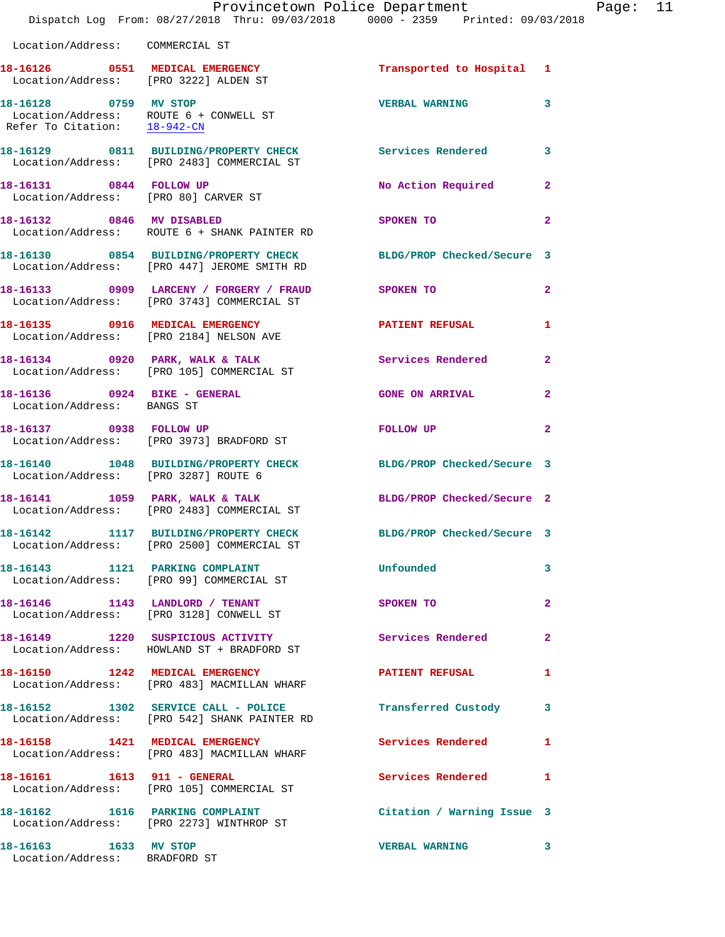| Location/Address: COMMERCIAL ST                                 |                                                                                       |                            |                          |
|-----------------------------------------------------------------|---------------------------------------------------------------------------------------|----------------------------|--------------------------|
|                                                                 | 18-16126 0551 MEDICAL EMERGENCY<br>Location/Address: [PRO 3222] ALDEN ST              | Transported to Hospital 1  |                          |
| 18-16128 0759 MV STOP<br>Refer To Citation: 18-942-CN           | Location/Address: ROUTE 6 + CONWELL ST                                                | <b>VERBAL WARNING</b>      | $\mathbf{3}$             |
|                                                                 | 18-16129 0811 BUILDING/PROPERTY CHECK<br>Location/Address: [PRO 2483] COMMERCIAL ST   | Services Rendered          | $\overline{\phantom{a}}$ |
| 18-16131 0844 FOLLOW UP<br>Location/Address: [PRO 80] CARVER ST |                                                                                       | No Action Required         | $\mathbf{2}$             |
| 18-16132 0846 MV DISABLED                                       | Location/Address: ROUTE 6 + SHANK PAINTER RD                                          | SPOKEN TO                  | $\overline{2}$           |
|                                                                 | 18-16130 0854 BUILDING/PROPERTY CHECK<br>Location/Address: [PRO 447] JEROME SMITH RD  | BLDG/PROP Checked/Secure 3 |                          |
|                                                                 | 18-16133 0909 LARCENY / FORGERY / FRAUD<br>Location/Address: [PRO 3743] COMMERCIAL ST | SPOKEN TO                  | $\mathbf{2}$             |
|                                                                 | 18-16135 0916 MEDICAL EMERGENCY<br>Location/Address: [PRO 2184] NELSON AVE            | PATIENT REFUSAL            | 1                        |
|                                                                 | 18-16134 0920 PARK, WALK & TALK<br>Location/Address: [PRO 105] COMMERCIAL ST          | Services Rendered          | $\overline{2}$           |
| 18-16136 0924 BIKE - GENERAL<br>Location/Address: BANGS ST      |                                                                                       | <b>GONE ON ARRIVAL</b>     | $\mathbf{2}$             |
| 18-16137 0938 FOLLOW UP                                         | Location/Address: [PRO 3973] BRADFORD ST                                              | <b>FOLLOW UP</b>           | $\mathbf{2}$             |
| Location/Address: [PRO 3287] ROUTE 6                            | 18-16140 1048 BUILDING/PROPERTY CHECK                                                 | BLDG/PROP Checked/Secure 3 |                          |
|                                                                 | 18-16141 1059 PARK, WALK & TALK<br>Location/Address: [PRO 2483] COMMERCIAL ST         | BLDG/PROP Checked/Secure 2 |                          |
|                                                                 | 18-16142 1117 BUILDING/PROPERTY CHECK<br>Location/Address: [PRO 2500] COMMERCIAL ST   | BLDG/PROP Checked/Secure 3 |                          |
|                                                                 | 18-16143 1121 PARKING COMPLAINT<br>Location/Address: [PRO 99] COMMERCIAL ST           | Unfounded                  | $\mathbf{3}$             |
|                                                                 | 18-16146   1143   LANDLORD / TENANT<br>Location/Address: [PRO 3128] CONWELL ST        | SPOKEN TO                  | $\mathbf{2}$             |
|                                                                 | 18-16149 1220 SUSPICIOUS ACTIVITY<br>Location/Address: HOWLAND ST + BRADFORD ST       | Services Rendered          | $\mathbf{2}$             |
|                                                                 | 18-16150 1242 MEDICAL EMERGENCY<br>Location/Address: [PRO 483] MACMILLAN WHARF        | PATIENT REFUSAL            | $\mathbf{1}$             |
|                                                                 | 18-16152 1302 SERVICE CALL - POLICE<br>Location/Address: [PRO 542] SHANK PAINTER RD   | Transferred Custody        | $\mathbf{3}$             |
|                                                                 | 18-16158 1421 MEDICAL EMERGENCY<br>Location/Address: [PRO 483] MACMILLAN WHARF        | Services Rendered          | $\mathbf{1}$             |
| 18-16161    1613    911 - GENERAL                               | Location/Address: [PRO 105] COMMERCIAL ST                                             | Services Rendered 1        |                          |
|                                                                 | 18-16162 1616 PARKING COMPLAINT<br>Location/Address: [PRO 2273] WINTHROP ST           | Citation / Warning Issue 3 |                          |
| 18-16163 1633 MV STOP<br>Location/Address: BRADFORD ST          |                                                                                       | <b>VERBAL WARNING</b>      | 3                        |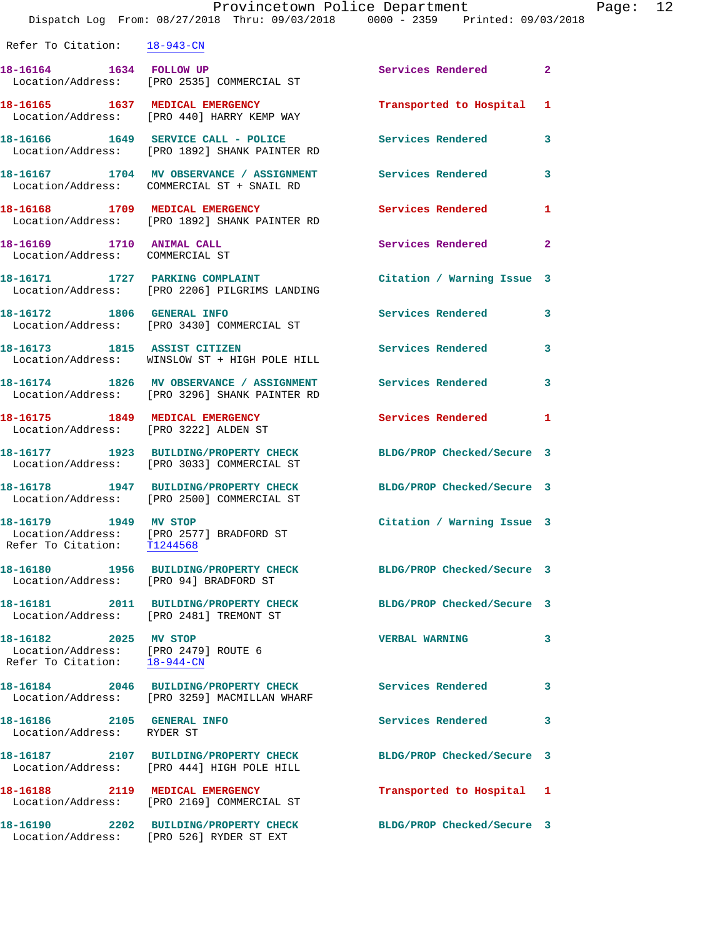|                                                                                               | Dispatch Log From: 08/27/2018 Thru: 09/03/2018 0000 - 2359 Printed: 09/03/2018                                 | Provincetown Police Department | Page: 12     |
|-----------------------------------------------------------------------------------------------|----------------------------------------------------------------------------------------------------------------|--------------------------------|--------------|
| Refer To Citation: 18-943-CN                                                                  |                                                                                                                |                                |              |
|                                                                                               | 18-16164   1634   FOLLOW UP<br>Location/Address: [PRO 2535] COMMERCIAL ST                                      | Services Rendered 2            |              |
|                                                                                               | 18-16165 1637 MEDICAL EMERGENCY<br>Location/Address: [PRO 440] HARRY KEMP WAY                                  | Transported to Hospital 1      |              |
|                                                                                               | 18-16166 1649 SERVICE CALL - POLICE 1991 Services Rendered 3<br>Location/Address: [PRO 1892] SHANK PAINTER RD  |                                |              |
|                                                                                               | 18-16167 1704 MV OBSERVANCE / ASSIGNMENT Services Rendered<br>Location/Address: COMMERCIAL ST + SNAIL RD       |                                | 3            |
|                                                                                               | 18-16168 1709 MEDICAL EMERGENCY<br>Location/Address: [PRO 1892] SHANK PAINTER RD                               | Services Rendered              | $\mathbf{1}$ |
| 18-16169 1710 ANIMAL CALL<br>Location/Address: COMMERCIAL ST                                  |                                                                                                                | Services Rendered              | $\mathbf{2}$ |
|                                                                                               | 18-16171 1727 PARKING COMPLAINT<br>Location/Address: [PRO 2206] PILGRIMS LANDING                               | Citation / Warning Issue 3     |              |
|                                                                                               | 18-16172 1806 GENERAL INFO<br>Location/Address: [PRO 3430] COMMERCIAL ST                                       | Services Rendered 3            |              |
| 18-16173 1815 ASSIST CITIZEN                                                                  | Location/Address: WINSLOW ST + HIGH POLE HILL                                                                  | Services Rendered              | 3            |
|                                                                                               | 18-16174 1826 MV OBSERVANCE / ASSIGNMENT<br>Location/Address: [PRO 3296] SHANK PAINTER RD                      | Services Rendered 3            |              |
| 18-16175 1849 MEDICAL EMERGENCY<br>Location/Address: [PRO 3222] ALDEN ST                      |                                                                                                                | Services Rendered              | 1            |
|                                                                                               | 18-16177 1923 BUILDING/PROPERTY CHECK BLDG/PROP Checked/Secure 3<br>Location/Address: [PRO 3033] COMMERCIAL ST |                                |              |
|                                                                                               | 18-16178 1947 BUILDING/PROPERTY CHECK BLDG/PROP Checked/Secure 3<br>Location/Address: [PRO 2500] COMMERCIAL ST |                                |              |
| 18-16179 1949 MV STOP<br>Refer To Citation: T1244568                                          | Location/Address: [PRO 2577] BRADFORD ST                                                                       | Citation / Warning Issue 3     |              |
| Location/Address: [PRO 94] BRADFORD ST                                                        | 18-16180 1956 BUILDING/PROPERTY CHECK BLDG/PROP Checked/Secure 3                                               |                                |              |
|                                                                                               | 18-16181 2011 BUILDING/PROPERTY CHECK<br>Location/Address: [PRO 2481] TREMONT ST                               | BLDG/PROP Checked/Secure 3     |              |
| 18-16182 2025 MV STOP<br>Location/Address: [PRO 2479] ROUTE 6<br>Refer To Citation: 18-944-CN |                                                                                                                | <b>VERBAL WARNING</b>          | 3            |
|                                                                                               | 18-16184 2046 BUILDING/PROPERTY CHECK<br>Location/Address: [PRO 3259] MACMILLAN WHARF                          | Services Rendered              | 3            |
| 18-16186 2105 GENERAL INFO<br>Location/Address: RYDER ST                                      |                                                                                                                | Services Rendered              | 3            |
|                                                                                               | 18-16187 2107 BUILDING/PROPERTY CHECK<br>Location/Address: [PRO 444] HIGH POLE HILL                            | BLDG/PROP Checked/Secure 3     |              |
|                                                                                               | 18-16188 2119 MEDICAL EMERGENCY<br>Location/Address: [PRO 2169] COMMERCIAL ST                                  | Transported to Hospital 1      |              |
|                                                                                               | 18-16190 2202 BUILDING/PROPERTY CHECK                                                                          | BLDG/PROP Checked/Secure 3     |              |

Location/Address: [PRO 526] RYDER ST EXT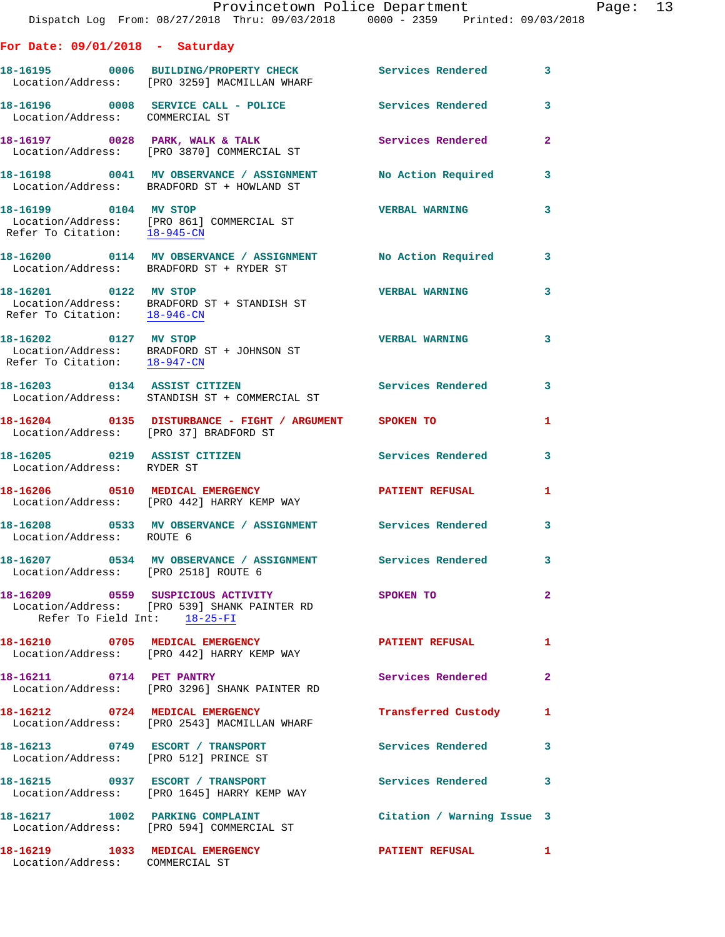**18-16196 0008 SERVICE CALL - POLICE Services Rendered 3** 

Location/Address: COMMERCIAL ST

Location/Address: COMMERCIAL ST

|                                                                           | 18-16197 0028 PARK, WALK & TALK<br>Location/Address: [PRO 3870] COMMERCIAL ST                               | Services Rendered 2        |              |
|---------------------------------------------------------------------------|-------------------------------------------------------------------------------------------------------------|----------------------------|--------------|
|                                                                           | 18-16198 0041 MV OBSERVANCE / ASSIGNMENT No Action Required 3<br>Location/Address: BRADFORD ST + HOWLAND ST |                            |              |
| 18-16199 0104 MV STOP<br>Refer To Citation: 18-945-CN                     | Location/Address: [PRO 861] COMMERCIAL ST                                                                   | <b>VERBAL WARNING</b>      | 3            |
|                                                                           | 18-16200 0114 MV OBSERVANCE / ASSIGNMENT No Action Required<br>Location/Address: BRADFORD ST + RYDER ST     |                            | 3            |
| 18-16201 0122 MV STOP                                                     | Location/Address: BRADFORD ST + STANDISH ST<br>Refer To Citation: 18-946-CN                                 | <b>VERBAL WARNING</b>      | 3            |
| 18-16202 0127 MV STOP<br>Refer To Citation: 18-947-CN                     | Location/Address: BRADFORD ST + JOHNSON ST                                                                  | <b>VERBAL WARNING</b>      | 3            |
|                                                                           | 18-16203 0134 ASSIST CITIZEN<br>Location/Address: STANDISH ST + COMMERCIAL ST                               | <b>Services Rendered</b> 3 |              |
| Location/Address: [PRO 37] BRADFORD ST                                    | 18-16204 0135 DISTURBANCE - FIGHT / ARGUMENT SPOKEN TO                                                      |                            | $\mathbf{1}$ |
| 18-16205 0219 ASSIST CITIZEN<br>Location/Address: RYDER ST                |                                                                                                             | Services Rendered          | 3            |
|                                                                           | 18-16206 0510 MEDICAL EMERGENCY<br>Location/Address: [PRO 442] HARRY KEMP WAY                               | <b>PATIENT REFUSAL</b>     | $\mathbf{1}$ |
| Location/Address: ROUTE 6                                                 | 18-16208 0533 MV OBSERVANCE / ASSIGNMENT Services Rendered                                                  |                            | 3            |
| Location/Address: [PRO 2518] ROUTE 6                                      | 18-16207 0534 MV OBSERVANCE / ASSIGNMENT Services Rendered                                                  |                            | 3            |
| Refer To Field Int: 18-25-FI                                              | 18-16209 0559 SUSPICIOUS ACTIVITY<br>Location/Address: [PRO 539] SHANK PAINTER RD                           | <b>SPOKEN TO</b>           | $\mathbf{2}$ |
|                                                                           | 18-16210 0705 MEDICAL EMERGENCY<br>Location/Address: [PRO 442] HARRY KEMP WAY                               | <b>PATIENT REFUSAL</b>     | $\mathbf{1}$ |
| 18-16211 0714 PET PANTRY                                                  | Location/Address: [PRO 3296] SHANK PAINTER RD                                                               | <b>Services Rendered</b>   | $\mathbf{2}$ |
| 18-16212 0724 MEDICAL EMERGENCY                                           | Location/Address: [PRO 2543] MACMILLAN WHARF                                                                | Transferred Custody        | 1            |
| 18-16213 0749 ESCORT / TRANSPORT<br>Location/Address: [PRO 512] PRINCE ST |                                                                                                             | <b>Services Rendered</b>   | 3            |
|                                                                           | 18-16215 0937 ESCORT / TRANSPORT<br>Location/Address: [PRO 1645] HARRY KEMP WAY                             | Services Rendered          | 3            |
|                                                                           | 18-16217 1002 PARKING COMPLAINT<br>Location/Address: [PRO 594] COMMERCIAL ST                                | Citation / Warning Issue 3 |              |
|                                                                           | 18-16219 1033 MEDICAL EMERGENCY                                                                             | PATIENT REFUSAL 1          |              |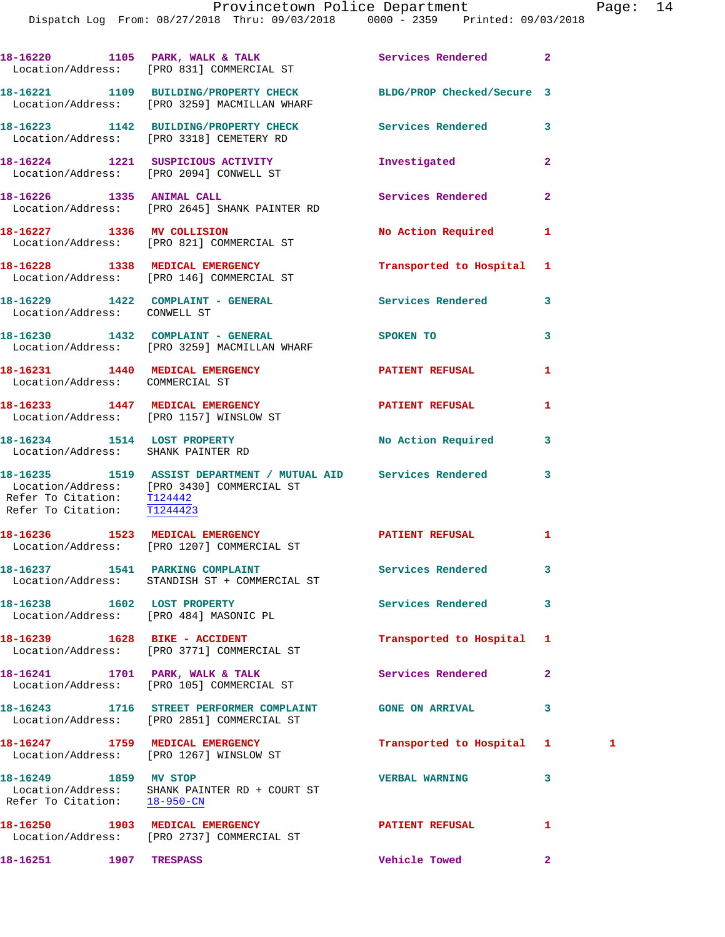|                                                                   | 18-16220 1105 PARK, WALK & TALK 1988 Services Rendered<br>Location/Address: [PRO 831] COMMERCIAL ST                                |                            | $\overline{2}$ |  |
|-------------------------------------------------------------------|------------------------------------------------------------------------------------------------------------------------------------|----------------------------|----------------|--|
|                                                                   | 18-16221 1109 BUILDING/PROPERTY CHECK<br>Location/Address: [PRO 3259] MACMILLAN WHARF                                              | BLDG/PROP Checked/Secure 3 |                |  |
|                                                                   | 18-16223 1142 BUILDING/PROPERTY CHECK Services Rendered<br>Location/Address: [PRO 3318] CEMETERY RD                                |                            | 3              |  |
|                                                                   | 18-16224 1221 SUSPICIOUS ACTIVITY<br>Location/Address: [PRO 2094] CONWELL ST                                                       | Investigated               | $\overline{a}$ |  |
|                                                                   | 18-16226 1335 ANIMAL CALL<br>Location/Address: [PRO 2645] SHANK PAINTER RD                                                         | Services Rendered          | $\mathbf{2}$   |  |
|                                                                   | 18-16227 1336 MV COLLISION<br>Location/Address: [PRO 821] COMMERCIAL ST                                                            | No Action Required         | 1              |  |
|                                                                   | 18-16228 1338 MEDICAL EMERGENCY<br>Location/Address: [PRO 146] COMMERCIAL ST                                                       | Transported to Hospital    | 1              |  |
| Location/Address: CONWELL ST                                      | 18-16229 1422 COMPLAINT - GENERAL Services Rendered                                                                                |                            | 3              |  |
|                                                                   | 18-16230 1432 COMPLAINT - GENERAL<br>Location/Address: [PRO 3259] MACMILLAN WHARF                                                  | SPOKEN TO                  | 3              |  |
| Location/Address: COMMERCIAL ST                                   | 18-16231 1440 MEDICAL EMERGENCY PATIENT REFUSAL                                                                                    |                            | 1              |  |
|                                                                   | 18-16233 1447 MEDICAL EMERGENCY<br>Location/Address: [PRO 1157] WINSLOW ST                                                         | PATIENT REFUSAL            | 1              |  |
| 18-16234 1514 LOST PROPERTY<br>Location/Address: SHANK PAINTER RD |                                                                                                                                    | No Action Required         | 3              |  |
| Refer To Citation: T124442<br>Refer To Citation: T1244423         | 18-16235         1519    ASSIST DEPARTMENT / MUTUAL AID        Services Rendered<br>Location/Address:     [PRO 3430] COMMERCIAL ST |                            | 3              |  |
|                                                                   | 18-16236 1523 MEDICAL EMERGENCY <b>EXERGENERY PATIENT REFUSAL</b><br>Location/Address: [PRO 1207] COMMERCIAL ST                    |                            | 1              |  |
| 18-16237 1541 PARKING COMPLAINT                                   | Location/Address: STANDISH ST + COMMERCIAL ST                                                                                      | Services Rendered          | $\mathbf{3}$   |  |
| 18-16238 1602 LOST PROPERTY                                       | Location/Address: [PRO 484] MASONIC PL                                                                                             | <b>Services Rendered</b>   | 3              |  |
|                                                                   | 18-16239    1628    BIKE - ACCIDENT<br>Location/Address: [PRO 3771] COMMERCIAL ST                                                  | Transported to Hospital    | 1              |  |
|                                                                   | 18-16241 1701 PARK, WALK & TALK<br>Location/Address: [PRO 105] COMMERCIAL ST                                                       | Services Rendered          | $\mathbf{2}$   |  |
|                                                                   | 18-16243 1716 STREET PERFORMER COMPLAINT<br>Location/Address: [PRO 2851] COMMERCIAL ST                                             | <b>GONE ON ARRIVAL</b>     | 3              |  |
|                                                                   | 18-16247 1759 MEDICAL EMERGENCY<br>Location/Address: [PRO 1267] WINSLOW ST                                                         | Transported to Hospital    | 1<br>1         |  |
| 18-16249 1859 MV STOP<br>Refer To Citation: 18-950-CN             | Location/Address: SHANK PAINTER RD + COURT ST                                                                                      | <b>VERBAL WARNING</b>      | 3              |  |
|                                                                   | 18-16250 1903 MEDICAL EMERGENCY<br>Location/Address: [PRO 2737] COMMERCIAL ST                                                      | PATIENT REFUSAL            | 1              |  |
| 18-16251 1907 TRESPASS                                            |                                                                                                                                    | <b>Vehicle Towed</b>       | $\mathbf{2}^-$ |  |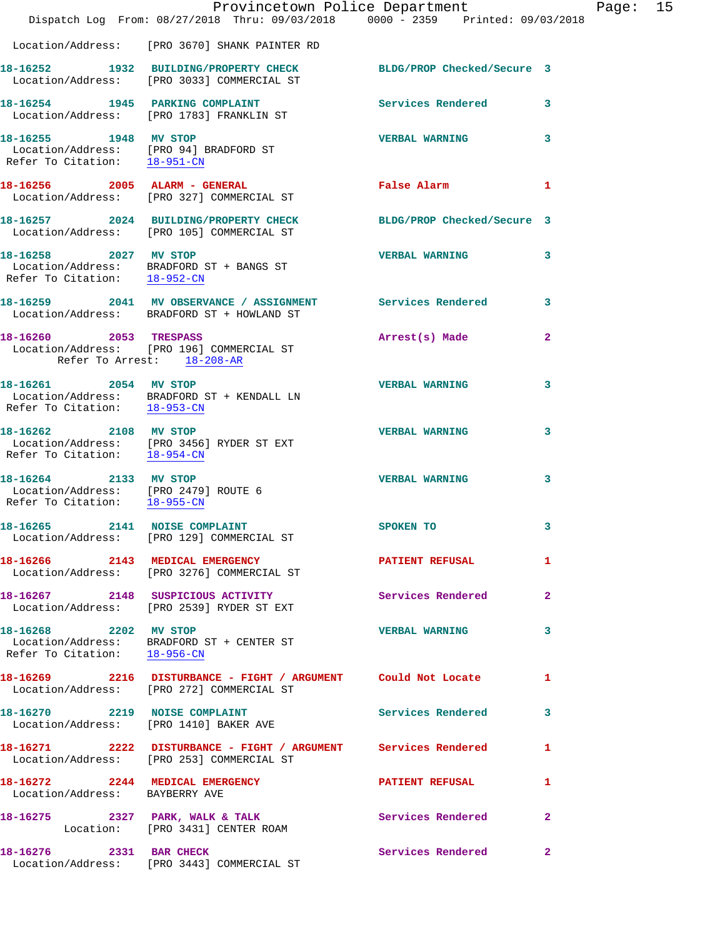|                                                                                               | Provincetown Police Department                                                                              |                            |              |
|-----------------------------------------------------------------------------------------------|-------------------------------------------------------------------------------------------------------------|----------------------------|--------------|
|                                                                                               | Dispatch Log From: 08/27/2018 Thru: 09/03/2018 0000 - 2359 Printed: 09/03/2018                              |                            |              |
|                                                                                               | Location/Address: [PRO 3670] SHANK PAINTER RD                                                               |                            |              |
|                                                                                               | 18-16252 1932 BUILDING/PROPERTY CHECK<br>Location/Address: [PRO 3033] COMMERCIAL ST                         | BLDG/PROP Checked/Secure 3 |              |
|                                                                                               | 18-16254 1945 PARKING COMPLAINT<br>Location/Address: [PRO 1783] FRANKLIN ST                                 | Services Rendered          | 3            |
| 18-16255 1948 MV STOP                                                                         | Location/Address: [PRO 94] BRADFORD ST<br>Refer To Citation: $\frac{18-951-CN}{28}$                         | <b>VERBAL WARNING</b>      | 3            |
|                                                                                               | 18-16256 2005 ALARM - GENERAL<br>Location/Address: [PRO 327] COMMERCIAL ST                                  | False Alarm                | 1            |
|                                                                                               | 18-16257 2024 BUILDING/PROPERTY CHECK<br>Location/Address: [PRO 105] COMMERCIAL ST                          | BLDG/PROP Checked/Secure 3 |              |
| Refer To Citation: 18-952-CN                                                                  | 18-16258 2027 MV STOP<br>Location/Address: BRADFORD ST + BANGS ST                                           | <b>VERBAL WARNING</b>      | 3            |
|                                                                                               | 18-16259 2041 MV OBSERVANCE / ASSIGNMENT<br>Location/Address: BRADFORD ST + HOWLAND ST                      | <b>Services Rendered</b>   | 3            |
| 18-16260 2053 TRESPASS<br>Refer To Arrest: 18-208-AR                                          | Location/Address: [PRO 196] COMMERCIAL ST                                                                   | Arrest(s) Made             | $\mathbf{2}$ |
| Refer To Citation: 18-953-CN                                                                  | 18-16261 2054 MV STOP<br>Location/Address: BRADFORD ST + KENDALL LN                                         | <b>VERBAL WARNING</b>      | 3            |
| 18-16262 2108 MV STOP<br>Refer To Citation: 18-954-CN                                         | Location/Address: [PRO 3456] RYDER ST EXT                                                                   | <b>VERBAL WARNING</b>      | 3            |
| 18-16264 2133 MV STOP<br>Location/Address: [PRO 2479] ROUTE 6<br>Refer To Citation: 18-955-CN |                                                                                                             | <b>VERBAL WARNING</b>      | 3            |
| 18-16265<br>2141                                                                              | <b>NOISE COMPLAINT</b><br>Location/Address: [PRO 129] COMMERCIAL ST                                         | SPOKEN TO                  | 3            |
|                                                                                               | 18-16266 2143 MEDICAL EMERGENCY<br>Location/Address: [PRO 3276] COMMERCIAL ST                               | PATIENT REFUSAL            | 1            |
|                                                                                               | 18-16267 2148 SUSPICIOUS ACTIVITY<br>Location/Address: [PRO 2539] RYDER ST EXT                              | Services Rendered          | $\mathbf{2}$ |
| 18-16268 2202 MV STOP<br>Refer To Citation: 18-956-CN                                         | Location/Address: BRADFORD ST + CENTER ST                                                                   | <b>VERBAL WARNING</b>      | 3            |
|                                                                                               | 18-16269 2216 DISTURBANCE - FIGHT / ARGUMENT Could Not Locate<br>Location/Address: [PRO 272] COMMERCIAL ST  |                            | 1            |
|                                                                                               | 18-16270 2219 NOISE COMPLAINT<br>Location/Address: [PRO 1410] BAKER AVE                                     | Services Rendered          | 3            |
|                                                                                               | 18-16271 2222 DISTURBANCE - FIGHT / ARGUMENT Services Rendered<br>Location/Address: [PRO 253] COMMERCIAL ST |                            | 1            |
| Location/Address: BAYBERRY AVE                                                                | 18-16272 2244 MEDICAL EMERGENCY PATIENT REFUSAL                                                             |                            | 1            |
|                                                                                               | 18-16275 2327 PARK, WALK & TALK<br>Location: [PRO 3431] CENTER ROAM                                         | Services Rendered          | $\mathbf{2}$ |
| 18-16276 2331 BAR CHECK                                                                       | Location/Address: [PRO 3443] COMMERCIAL ST                                                                  | Services Rendered          | $\mathbf{2}$ |

Page: 15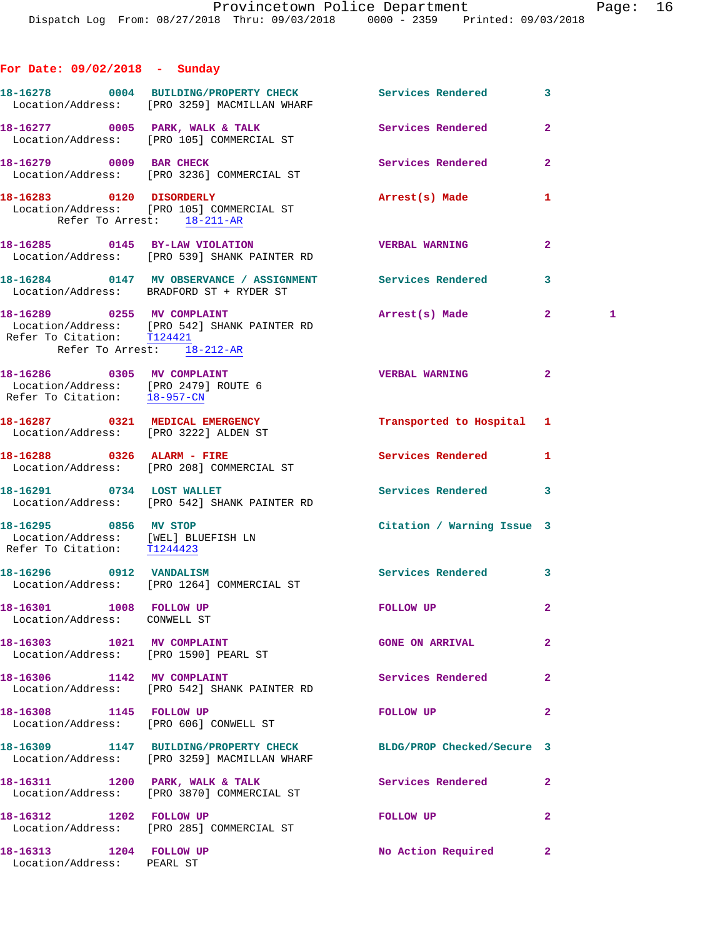|  |  | For Date: 09/02/2018 |  | Sunday |
|--|--|----------------------|--|--------|
|--|--|----------------------|--|--------|

|                                                                                                    | 18-16278 0004 BUILDING/PROPERTY CHECK Services Rendered<br>Location/Address: [PRO 3259] MACMILLAN WHARF |                            | 3              |              |
|----------------------------------------------------------------------------------------------------|---------------------------------------------------------------------------------------------------------|----------------------------|----------------|--------------|
|                                                                                                    | 18-16277 0005 PARK, WALK & TALK Services Rendered<br>Location/Address: [PRO 105] COMMERCIAL ST          |                            | $\overline{2}$ |              |
|                                                                                                    | 18-16279 0009 BAR CHECK<br>Location/Address: [PRO 3236] COMMERCIAL ST                                   | Services Rendered          | $\overline{a}$ |              |
| Refer To Arrest: 18-211-AR                                                                         | 18-16283 0120 DISORDERLY<br>Location/Address: [PRO 105] COMMERCIAL ST                                   | Arrest(s) Made             | 1              |              |
|                                                                                                    | 18-16285 0145 BY-LAW VIOLATION<br>Location/Address: [PRO 539] SHANK PAINTER RD                          | <b>VERBAL WARNING</b>      | $\overline{2}$ |              |
|                                                                                                    | 18-16284 0147 MV OBSERVANCE / ASSIGNMENT Services Rendered<br>Location/Address: BRADFORD ST + RYDER ST  |                            | 3              |              |
| 18-16289 0255 MV COMPLAINT<br>Refer To Arrest: 18-212-AR                                           | Location/Address: [PRO 542] SHANK PAINTER RD<br>Refer To Citation: T124421                              | Arrest(s) Made             | 2 <sup>1</sup> | $\mathbf{1}$ |
| 18-16286 0305 MV COMPLAINT<br>Location/Address: [PRO 2479] ROUTE 6<br>Refer To Citation: 18-957-CN |                                                                                                         | <b>VERBAL WARNING</b>      | $\overline{2}$ |              |
| Location/Address: [PRO 3222] ALDEN ST                                                              | 18-16287 0321 MEDICAL EMERGENCY                                                                         | Transported to Hospital 1  |                |              |
|                                                                                                    | 18-16288 0326 ALARM - FIRE<br>Location/Address: [PRO 208] COMMERCIAL ST                                 | <b>Services Rendered</b>   | 1              |              |
|                                                                                                    | 18-16291 0734 LOST WALLET<br>Location/Address: [PRO 542] SHANK PAINTER RD                               | Services Rendered          | 3              |              |
| 18-16295 0856 MV STOP<br>Location/Address: [WEL] BLUEFISH LN<br>Refer To Citation: T1244423        |                                                                                                         | Citation / Warning Issue 3 |                |              |
|                                                                                                    | 18-16296 0912 VANDALISM<br>Location/Address: [PRO 1264] COMMERCIAL ST                                   | Services Rendered 3        |                |              |
| 18-16301 1008 FOLLOW UP<br>Location/Address: CONWELL ST                                            |                                                                                                         | FOLLOW UP                  | $\overline{2}$ |              |
| 18-16303 1021 MV COMPLAINT<br>Location/Address: [PRO 1590] PEARL ST                                |                                                                                                         | <b>GONE ON ARRIVAL</b>     | $\mathbf{2}$   |              |
| 18-16306 1142 MV COMPLAINT                                                                         | Location/Address: [PRO 542] SHANK PAINTER RD                                                            | Services Rendered          | $\overline{a}$ |              |
| 18-16308 1145 FOLLOW UP<br>Location/Address: [PRO 606] CONWELL ST                                  |                                                                                                         | FOLLOW UP                  | 2              |              |
|                                                                                                    | 18-16309 1147 BUILDING/PROPERTY CHECK<br>Location/Address: [PRO 3259] MACMILLAN WHARF                   | BLDG/PROP Checked/Secure 3 |                |              |
|                                                                                                    | 18-16311 1200 PARK, WALK & TALK<br>Location/Address: [PRO 3870] COMMERCIAL ST                           | Services Rendered          | $\mathbf{2}$   |              |
| 18-16312 1202 FOLLOW UP                                                                            | Location/Address: [PRO 285] COMMERCIAL ST                                                               | FOLLOW UP                  | $\mathbf{2}$   |              |
| 18-16313 1204 FOLLOW UP<br>Location/Address: PEARL ST                                              |                                                                                                         | No Action Required         | 2              |              |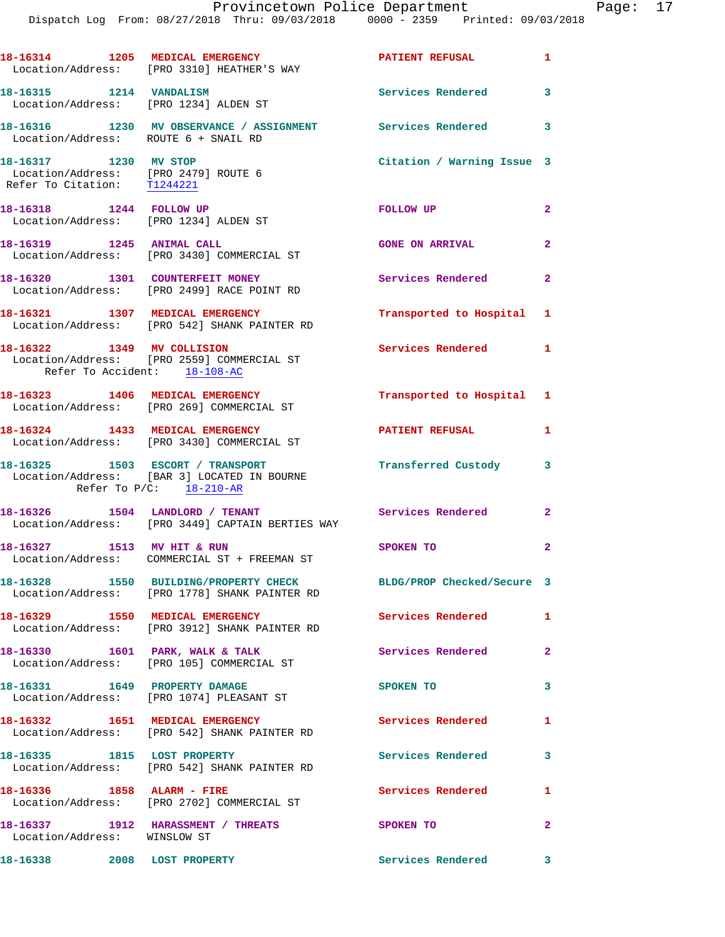|                                                      | 18-16314 1205 MEDICAL EMERGENCY<br>Location/Address: [PRO 3310] HEATHER'S WAY                                     | PATIENT REFUSAL 1          |                |
|------------------------------------------------------|-------------------------------------------------------------------------------------------------------------------|----------------------------|----------------|
|                                                      | 18-16315    1214    VANDALISM<br>Location/Address: [PRO 1234] ALDEN ST                                            | <b>Services Rendered</b>   | 3              |
|                                                      | 18-16316 1230 MV OBSERVANCE / ASSIGNMENT Services Rendered<br>Location/Address: ROUTE 6 + SNAIL RD                |                            | 3              |
| 18-16317 1230 MV STOP<br>Refer To Citation: T1244221 | Location/Address: [PRO 2479] ROUTE 6                                                                              | Citation / Warning Issue 3 |                |
|                                                      | 18-16318    1244    FOLLOW UP<br>Location/Address: [PRO 1234] ALDEN ST                                            | FOLLOW UP                  | $\overline{2}$ |
| 18-16319 1245 ANIMAL CALL                            | Location/Address: [PRO 3430] COMMERCIAL ST                                                                        | <b>GONE ON ARRIVAL</b>     | $\overline{2}$ |
|                                                      | 18-16320 1301 COUNTERFEIT MONEY<br>Location/Address: [PRO 2499] RACE POINT RD                                     | Services Rendered          | $\overline{a}$ |
|                                                      | 18-16321 1307 MEDICAL EMERGENCY<br>Location/Address: [PRO 542] SHANK PAINTER RD                                   | Transported to Hospital 1  |                |
|                                                      | 18-16322 1349 MV COLLISION<br>Location/Address: [PRO 2559] COMMERCIAL ST<br>Refer To Accident: 18-108-AC          | Services Rendered 1        |                |
|                                                      | 18-16323 1406 MEDICAL EMERGENCY<br>Location/Address: [PRO 269] COMMERCIAL ST                                      | Transported to Hospital 1  |                |
|                                                      | 18-16324 1433 MEDICAL EMERGENCY<br>Location/Address: [PRO 3430] COMMERCIAL ST                                     | PATIENT REFUSAL 1          |                |
|                                                      | 18-16325 1503 ESCORT / TRANSPORT<br>Location/Address: [BAR 3] LOCATED IN BOURNE<br>Refer To $P/C$ : 18-210-AR     | Transferred Custody        | 3              |
|                                                      | 18-16326   1504   LANDLORD / TENANT<br>Location/Address: [PRO 3449] CAPTAIN BERTIES WAY                           | Services Rendered          | $\mathbf{2}$   |
|                                                      | 18-16327 1513 MV HIT & RUN<br>Location/Address: COMMERCIAL ST + FREEMAN ST                                        | SPOKEN TO                  | $\overline{a}$ |
|                                                      | 18-16328 1550 BUILDING/PROPERTY CHECK BLDG/PROP Checked/Secure 3<br>Location/Address: [PRO 1778] SHANK PAINTER RD |                            |                |
|                                                      | 18-16329 1550 MEDICAL EMERGENCY<br>Location/Address: [PRO 3912] SHANK PAINTER RD                                  | <b>Services Rendered</b>   | 1              |
|                                                      | 18-16330 1601 PARK, WALK & TALK<br>Location/Address: [PRO 105] COMMERCIAL ST                                      | Services Rendered          | $\overline{2}$ |
|                                                      | 18-16331 1649 PROPERTY DAMAGE<br>Location/Address: [PRO 1074] PLEASANT ST                                         | SPOKEN TO                  | 3              |
|                                                      | 18-16332 1651 MEDICAL EMERGENCY<br>Location/Address: [PRO 542] SHANK PAINTER RD                                   | Services Rendered          | 1              |
|                                                      | 18-16335 1815 LOST PROPERTY<br>Location/Address: [PRO 542] SHANK PAINTER RD                                       | <b>Services Rendered</b>   | 3              |
| 18-16336 1858 ALARM - FIRE                           | Location/Address: [PRO 2702] COMMERCIAL ST                                                                        | Services Rendered          | 1              |
| Location/Address: WINSLOW ST                         | 18-16337 1912 HARASSMENT / THREATS                                                                                | SPOKEN TO                  | $\overline{2}$ |
|                                                      | 18-16338 2008 LOST PROPERTY                                                                                       | Services Rendered          | $\mathbf{3}$   |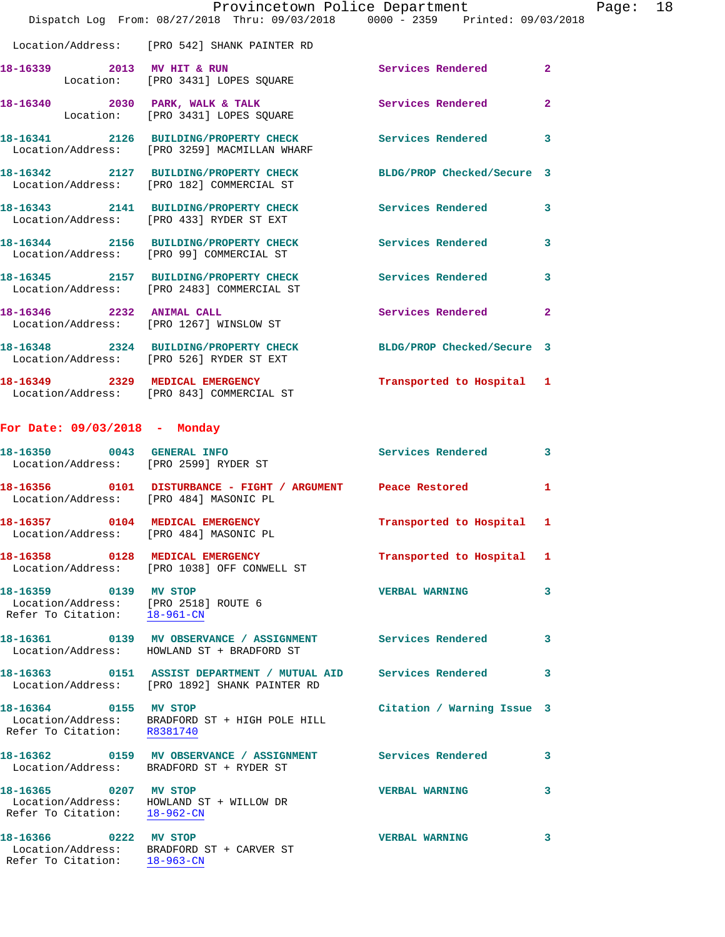|                                                                                               | Provincetown Police Department<br>Dispatch Log From: 08/27/2018 Thru: 09/03/2018 0000 - 2359 Printed: 09/03/2018     |                            |                |
|-----------------------------------------------------------------------------------------------|----------------------------------------------------------------------------------------------------------------------|----------------------------|----------------|
|                                                                                               | Location/Address: [PRO 542] SHANK PAINTER RD                                                                         |                            |                |
|                                                                                               | 18-16339 2013 MV HIT & RUN<br>Location: [PRO 3431] LOPES SQUARE                                                      | Services Rendered          | $\overline{2}$ |
|                                                                                               | 18-16340 2030 PARK, WALK & TALK<br>Location: [PRO 3431] LOPES SQUARE                                                 | Services Rendered          | $\overline{a}$ |
|                                                                                               | 18-16341 2126 BUILDING/PROPERTY CHECK Services Rendered<br>Location/Address: [PRO 3259] MACMILLAN WHARF              |                            | 3              |
|                                                                                               | 18-16342 2127 BUILDING/PROPERTY CHECK BLDG/PROP Checked/Secure 3<br>Location/Address: [PRO 182] COMMERCIAL ST        |                            |                |
|                                                                                               | 18-16343 2141 BUILDING/PROPERTY CHECK<br>Location/Address: [PRO 433] RYDER ST EXT                                    | Services Rendered          | 3              |
|                                                                                               | 18-16344 2156 BUILDING/PROPERTY CHECK Services Rendered<br>Location/Address: [PRO 99] COMMERCIAL ST                  |                            | 3              |
|                                                                                               | 18-16345 2157 BUILDING/PROPERTY CHECK<br>Location/Address: [PRO 2483] COMMERCIAL ST                                  | <b>Services Rendered</b>   | 3              |
| 18-16346 2232 ANIMAL CALL                                                                     | Location/Address: [PRO 1267] WINSLOW ST                                                                              | Services Rendered          | $\mathbf{2}$   |
|                                                                                               | 18-16348 2324 BUILDING/PROPERTY CHECK<br>Location/Address: [PRO 526] RYDER ST EXT                                    | BLDG/PROP Checked/Secure 3 |                |
|                                                                                               | 18-16349 2329 MEDICAL EMERGENCY<br>Location/Address: [PRO 843] COMMERCIAL ST                                         | Transported to Hospital 1  |                |
| For Date: $09/03/2018$ - Monday                                                               |                                                                                                                      |                            |                |
| 18-16350 0043 GENERAL INFO<br>Location/Address: [PRO 2599] RYDER ST                           |                                                                                                                      | Services Rendered          | 3              |
| Location/Address: [PRO 484] MASONIC PL                                                        |                                                                                                                      |                            | 1              |
| 18-16357 0104 MEDICAL EMERGENCY                                                               | Location/Address: [PRO 484] MASONIC PL                                                                               | Transported to Hospital 1  |                |
|                                                                                               | 18-16358 0128 MEDICAL EMERGENCY<br>Location/Address: [PRO 1038] OFF CONWELL ST                                       | Transported to Hospital    | 1              |
| 18-16359 0139 MV STOP<br>Location/Address: [PRO 2518] ROUTE 6<br>Refer To Citation: 18-961-CN |                                                                                                                      | <b>VERBAL WARNING</b>      | 3              |
|                                                                                               | 18-16361      0139   MV OBSERVANCE / ASSIGNMENT      Services Rendered<br>Location/Address: HOWLAND ST + BRADFORD ST |                            | 3              |
|                                                                                               | Location/Address: [PRO 1892] SHANK PAINTER RD                                                                        |                            | 3              |
| 18-16364 0155 MV STOP<br>Refer To Citation: R8381740                                          | Location/Address: BRADFORD ST + HIGH POLE HILL                                                                       | Citation / Warning Issue 3 |                |
|                                                                                               | 18-16362 0159 MV OBSERVANCE / ASSIGNMENT Services Rendered<br>Location/Address: BRADFORD ST + RYDER ST               |                            | 3              |
| 18-16365 0207 MV STOP                                                                         | Location/Address: HOWLAND ST + WILLOW DR<br>Refer To Citation: 18-962-CN                                             | <b>VERBAL WARNING</b>      | 3              |
| 18-16366 0222 MV STOP<br>Refer To Citation: 18-963-CN                                         | Location/Address: BRADFORD ST + CARVER ST                                                                            | <b>VERBAL WARNING</b>      | 3              |

Page:  $18$ <br>  $018$